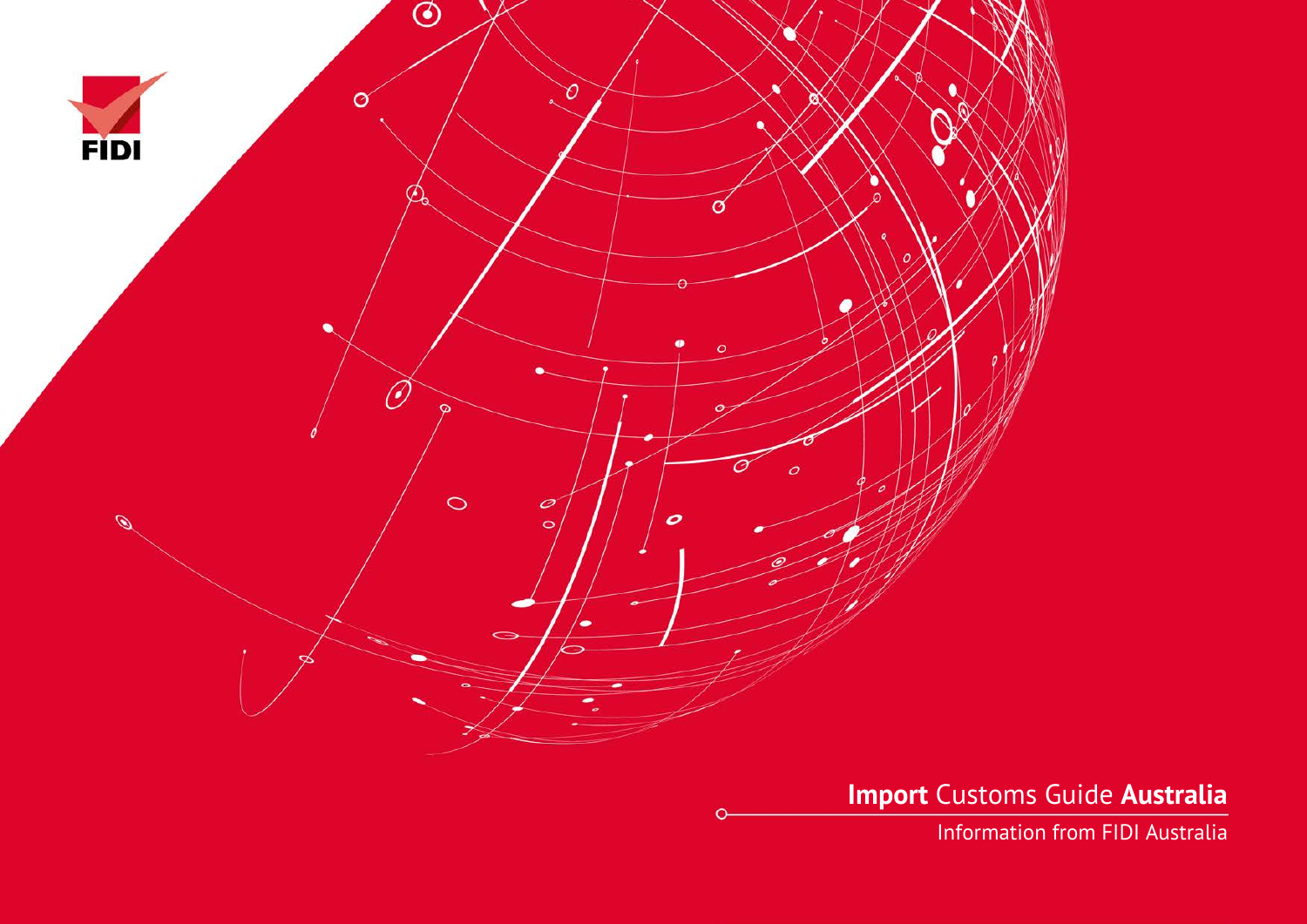

**Import** Customs Guide **Australia**

Information from FIDI Australia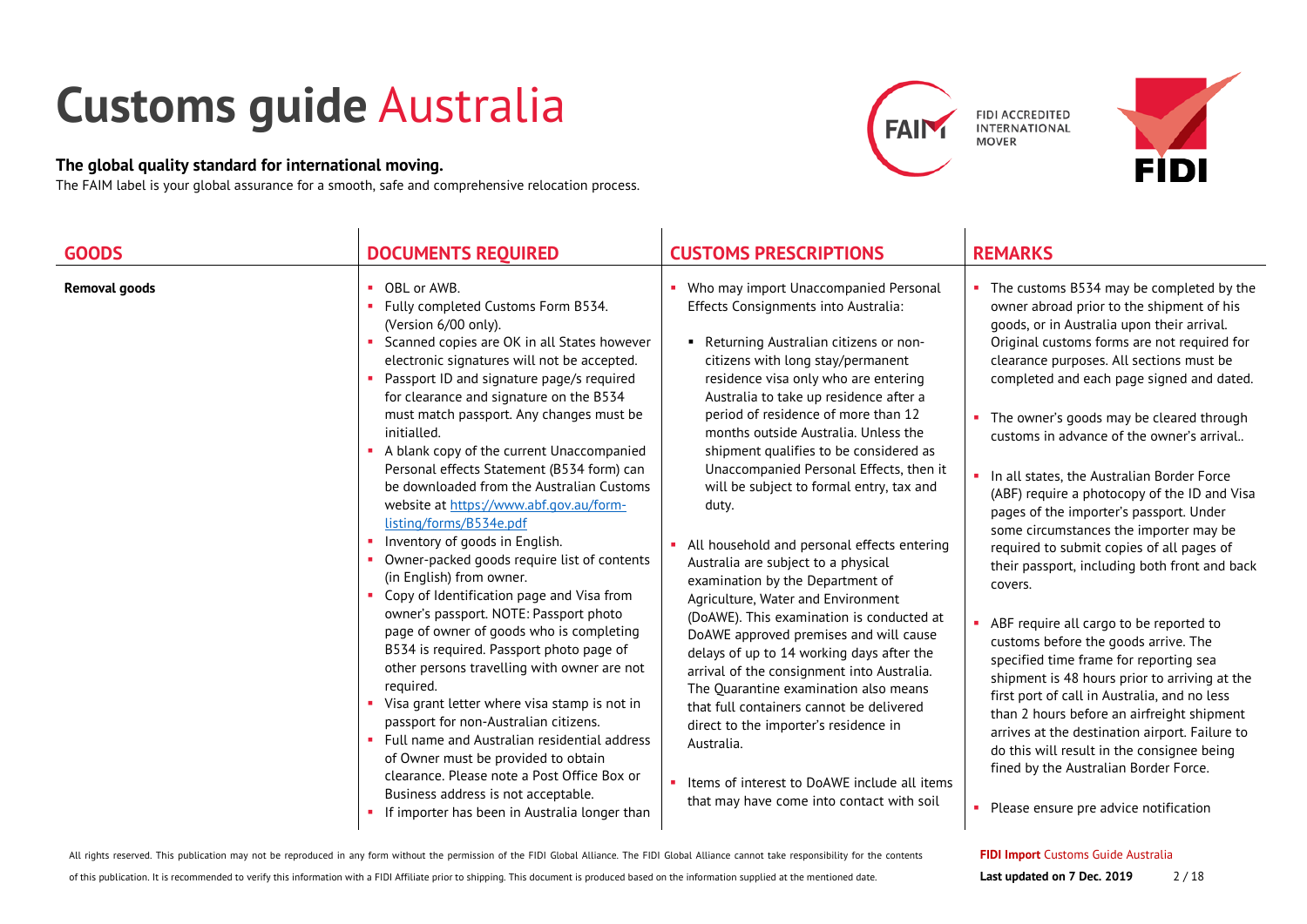# **Customs guide** Australia

### **The global quality standard for international moving.**

The FAIM label is your global assurance for a smooth, safe and comprehensive relocation process.





| <b>GOODS</b>         | <b>DOCUMENTS REQUIRED</b>                                                                                                                                                                                                                                                                                                                                                                                                                                                                                                                                                                                                                                                                                                                                                                                                                                                                                                                                                                                                                                                                                                                                                                                                                      | <b>CUSTOMS PRESCRIPTIONS</b>                                                                                                                                                                                                                                                                                                                                                                                                                                                                                                                                                                                                                                                                                                                                                                                                                                                                                                                                                                                                                                           | <b>REMARKS</b>                                                                                                                                                                                                                                                                                                                                                                                                                                                                                                                                                                                                                                                                                                                                                                                                                                                                                                                                                                                                                                                                                                                 |
|----------------------|------------------------------------------------------------------------------------------------------------------------------------------------------------------------------------------------------------------------------------------------------------------------------------------------------------------------------------------------------------------------------------------------------------------------------------------------------------------------------------------------------------------------------------------------------------------------------------------------------------------------------------------------------------------------------------------------------------------------------------------------------------------------------------------------------------------------------------------------------------------------------------------------------------------------------------------------------------------------------------------------------------------------------------------------------------------------------------------------------------------------------------------------------------------------------------------------------------------------------------------------|------------------------------------------------------------------------------------------------------------------------------------------------------------------------------------------------------------------------------------------------------------------------------------------------------------------------------------------------------------------------------------------------------------------------------------------------------------------------------------------------------------------------------------------------------------------------------------------------------------------------------------------------------------------------------------------------------------------------------------------------------------------------------------------------------------------------------------------------------------------------------------------------------------------------------------------------------------------------------------------------------------------------------------------------------------------------|--------------------------------------------------------------------------------------------------------------------------------------------------------------------------------------------------------------------------------------------------------------------------------------------------------------------------------------------------------------------------------------------------------------------------------------------------------------------------------------------------------------------------------------------------------------------------------------------------------------------------------------------------------------------------------------------------------------------------------------------------------------------------------------------------------------------------------------------------------------------------------------------------------------------------------------------------------------------------------------------------------------------------------------------------------------------------------------------------------------------------------|
| <b>Removal goods</b> | OBL or AWB.<br>٠<br>Fully completed Customs Form B534.<br>×.<br>(Version 6/00 only).<br>Scanned copies are OK in all States however<br>٠<br>electronic signatures will not be accepted.<br>Passport ID and signature page/s required<br>for clearance and signature on the B534<br>must match passport. Any changes must be<br>initialled.<br>A blank copy of the current Unaccompanied<br>Personal effects Statement (B534 form) can<br>be downloaded from the Australian Customs<br>website at https://www.abf.gov.au/form-<br>listing/forms/B534e.pdf<br>Inventory of goods in English.<br>٠<br>Owner-packed goods require list of contents<br>(in English) from owner.<br>Copy of Identification page and Visa from<br>owner's passport. NOTE: Passport photo<br>page of owner of goods who is completing<br>B534 is required. Passport photo page of<br>other persons travelling with owner are not<br>reguired.<br>Visa grant letter where visa stamp is not in<br>passport for non-Australian citizens.<br>• Full name and Australian residential address<br>of Owner must be provided to obtain<br>clearance. Please note a Post Office Box or<br>Business address is not acceptable.<br>If importer has been in Australia longer than | Who may import Unaccompanied Personal<br>Effects Consignments into Australia:<br>Returning Australian citizens or non-<br>٠<br>citizens with long stay/permanent<br>residence visa only who are entering<br>Australia to take up residence after a<br>period of residence of more than 12<br>months outside Australia. Unless the<br>shipment qualifies to be considered as<br>Unaccompanied Personal Effects, then it<br>will be subject to formal entry, tax and<br>duty.<br>All household and personal effects entering<br>Australia are subject to a physical<br>examination by the Department of<br>Agriculture, Water and Environment<br>(DoAWE). This examination is conducted at<br>DoAWE approved premises and will cause<br>delays of up to 14 working days after the<br>arrival of the consignment into Australia.<br>The Quarantine examination also means<br>that full containers cannot be delivered<br>direct to the importer's residence in<br>Australia.<br>Items of interest to DoAWE include all items<br>that may have come into contact with soil | The customs B534 may be completed by the<br>owner abroad prior to the shipment of his<br>goods, or in Australia upon their arrival.<br>Original customs forms are not required for<br>clearance purposes. All sections must be<br>completed and each page signed and dated.<br>The owner's goods may be cleared through<br>customs in advance of the owner's arrival<br>In all states, the Australian Border Force<br>(ABF) require a photocopy of the ID and Visa<br>pages of the importer's passport. Under<br>some circumstances the importer may be<br>required to submit copies of all pages of<br>their passport, including both front and back<br>covers.<br>ABF require all cargo to be reported to<br>customs before the goods arrive. The<br>specified time frame for reporting sea<br>shipment is 48 hours prior to arriving at the<br>first port of call in Australia, and no less<br>than 2 hours before an airfreight shipment<br>arrives at the destination airport. Failure to<br>do this will result in the consignee being<br>fined by the Australian Border Force.<br>Please ensure pre advice notification |
|                      |                                                                                                                                                                                                                                                                                                                                                                                                                                                                                                                                                                                                                                                                                                                                                                                                                                                                                                                                                                                                                                                                                                                                                                                                                                                |                                                                                                                                                                                                                                                                                                                                                                                                                                                                                                                                                                                                                                                                                                                                                                                                                                                                                                                                                                                                                                                                        |                                                                                                                                                                                                                                                                                                                                                                                                                                                                                                                                                                                                                                                                                                                                                                                                                                                                                                                                                                                                                                                                                                                                |

All rights reserved. This publication may not be reproduced in any form without the permission of the FIDI Global Alliance. The FIDI Global Alliance cannot take responsibility for the contents

#### **FIDI Import** Customs Guide Australia **Last updated on 7 Dec. 2019** 2/18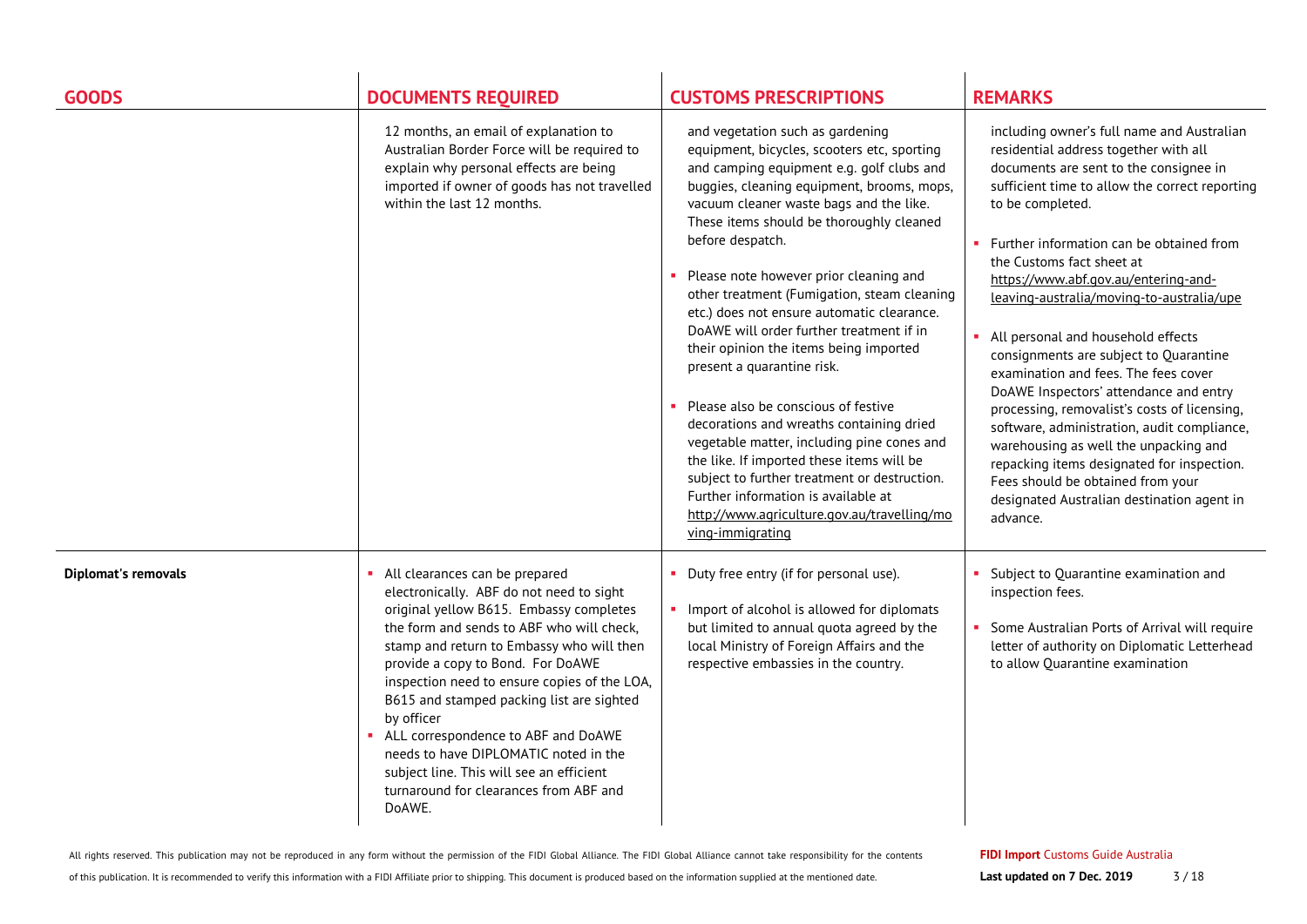| <b>GOODS</b>               | <b>DOCUMENTS REQUIRED</b>                                                                                                                                                                                                                                                                                                                                                                                                                                                                                                                         | <b>CUSTOMS PRESCRIPTIONS</b>                                                                                                                                                                                                                                                                                                                                                                                                                                                                                                                                                                                                                                                                                                                                                                                                                                                             | <b>REMARKS</b>                                                                                                                                                                                                                                                                                                                                                                                                                                                                                                                                                                                                                                                                                                                                                                                                                   |
|----------------------------|---------------------------------------------------------------------------------------------------------------------------------------------------------------------------------------------------------------------------------------------------------------------------------------------------------------------------------------------------------------------------------------------------------------------------------------------------------------------------------------------------------------------------------------------------|------------------------------------------------------------------------------------------------------------------------------------------------------------------------------------------------------------------------------------------------------------------------------------------------------------------------------------------------------------------------------------------------------------------------------------------------------------------------------------------------------------------------------------------------------------------------------------------------------------------------------------------------------------------------------------------------------------------------------------------------------------------------------------------------------------------------------------------------------------------------------------------|----------------------------------------------------------------------------------------------------------------------------------------------------------------------------------------------------------------------------------------------------------------------------------------------------------------------------------------------------------------------------------------------------------------------------------------------------------------------------------------------------------------------------------------------------------------------------------------------------------------------------------------------------------------------------------------------------------------------------------------------------------------------------------------------------------------------------------|
|                            | 12 months, an email of explanation to<br>Australian Border Force will be required to<br>explain why personal effects are being<br>imported if owner of goods has not travelled<br>within the last 12 months.                                                                                                                                                                                                                                                                                                                                      | and vegetation such as gardening<br>equipment, bicycles, scooters etc, sporting<br>and camping equipment e.g. golf clubs and<br>buggies, cleaning equipment, brooms, mops,<br>vacuum cleaner waste bags and the like.<br>These items should be thoroughly cleaned<br>before despatch.<br>Please note however prior cleaning and<br>other treatment (Fumigation, steam cleaning<br>etc.) does not ensure automatic clearance.<br>DoAWE will order further treatment if in<br>their opinion the items being imported<br>present a quarantine risk.<br>Please also be conscious of festive<br>decorations and wreaths containing dried<br>vegetable matter, including pine cones and<br>the like. If imported these items will be<br>subject to further treatment or destruction.<br>Further information is available at<br>http://www.agriculture.gov.au/travelling/mo<br>ving-immigrating | including owner's full name and Australian<br>residential address together with all<br>documents are sent to the consignee in<br>sufficient time to allow the correct reporting<br>to be completed.<br>Further information can be obtained from<br>×.<br>the Customs fact sheet at<br>https://www.abf.gov.au/entering-and-<br>leaving-australia/moving-to-australia/upe<br>• All personal and household effects<br>consignments are subject to Quarantine<br>examination and fees. The fees cover<br>DoAWE Inspectors' attendance and entry<br>processing, removalist's costs of licensing,<br>software, administration, audit compliance,<br>warehousing as well the unpacking and<br>repacking items designated for inspection.<br>Fees should be obtained from your<br>designated Australian destination agent in<br>advance. |
| <b>Diplomat's removals</b> | All clearances can be prepared<br>electronically. ABF do not need to sight<br>original yellow B615. Embassy completes<br>the form and sends to ABF who will check,<br>stamp and return to Embassy who will then<br>provide a copy to Bond. For DoAWE<br>inspection need to ensure copies of the LOA,<br>B615 and stamped packing list are sighted<br>by officer<br>• ALL correspondence to ABF and DoAWE<br>needs to have DIPLOMATIC noted in the<br>subject line. This will see an efficient<br>turnaround for clearances from ABF and<br>DoAWE. | • Duty free entry (if for personal use).<br>Import of alcohol is allowed for diplomats<br>but limited to annual quota agreed by the<br>local Ministry of Foreign Affairs and the<br>respective embassies in the country.                                                                                                                                                                                                                                                                                                                                                                                                                                                                                                                                                                                                                                                                 | Subject to Quarantine examination and<br>inspection fees.<br>Some Australian Ports of Arrival will require<br>letter of authority on Diplomatic Letterhead<br>to allow Quarantine examination                                                                                                                                                                                                                                                                                                                                                                                                                                                                                                                                                                                                                                    |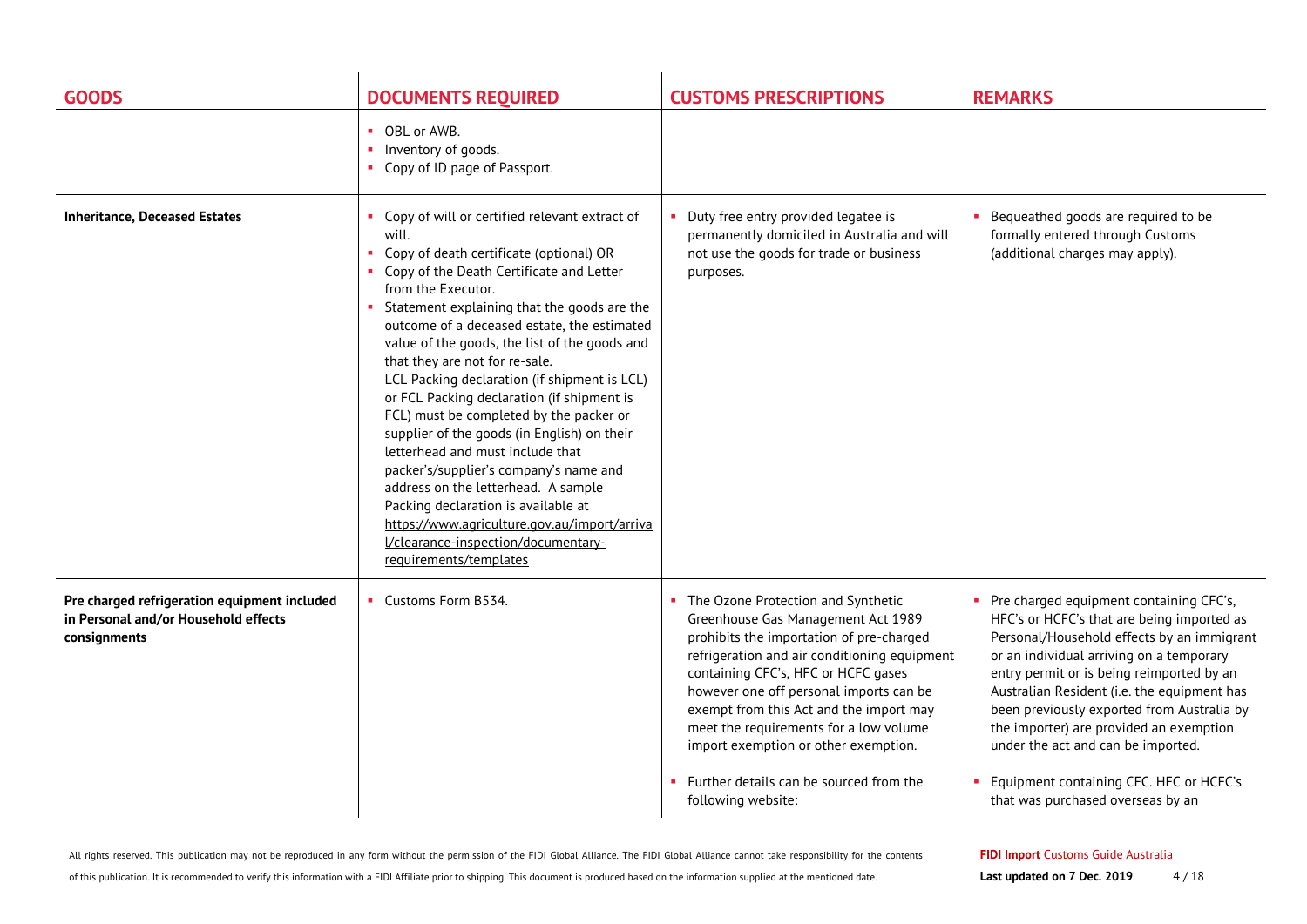| <b>GOODS</b>                                                                                         | <b>DOCUMENTS REQUIRED</b>                                                                                                                                                                                                                                                                                                                                                                                                                                                                                                                                                                                                                                                                                                                                                                                                     | <b>CUSTOMS PRESCRIPTIONS</b>                                                                                                                                                                                                                                                                                                                                                                                                                             | <b>REMARKS</b>                                                                                                                                                                                                                                                                                                                                                                                                                                                                               |
|------------------------------------------------------------------------------------------------------|-------------------------------------------------------------------------------------------------------------------------------------------------------------------------------------------------------------------------------------------------------------------------------------------------------------------------------------------------------------------------------------------------------------------------------------------------------------------------------------------------------------------------------------------------------------------------------------------------------------------------------------------------------------------------------------------------------------------------------------------------------------------------------------------------------------------------------|----------------------------------------------------------------------------------------------------------------------------------------------------------------------------------------------------------------------------------------------------------------------------------------------------------------------------------------------------------------------------------------------------------------------------------------------------------|----------------------------------------------------------------------------------------------------------------------------------------------------------------------------------------------------------------------------------------------------------------------------------------------------------------------------------------------------------------------------------------------------------------------------------------------------------------------------------------------|
|                                                                                                      | • OBL or AWB.<br>Inventory of goods.<br>Copy of ID page of Passport.                                                                                                                                                                                                                                                                                                                                                                                                                                                                                                                                                                                                                                                                                                                                                          |                                                                                                                                                                                                                                                                                                                                                                                                                                                          |                                                                                                                                                                                                                                                                                                                                                                                                                                                                                              |
| <b>Inheritance, Deceased Estates</b>                                                                 | • Copy of will or certified relevant extract of<br>will.<br>Copy of death certificate (optional) OR<br>• Copy of the Death Certificate and Letter<br>from the Executor.<br>Statement explaining that the goods are the<br>outcome of a deceased estate, the estimated<br>value of the goods, the list of the goods and<br>that they are not for re-sale.<br>LCL Packing declaration (if shipment is LCL)<br>or FCL Packing declaration (if shipment is<br>FCL) must be completed by the packer or<br>supplier of the goods (in English) on their<br>letterhead and must include that<br>packer's/supplier's company's name and<br>address on the letterhead. A sample<br>Packing declaration is available at<br>https://www.agriculture.gov.au/import/arriva<br>I/clearance-inspection/documentary-<br>requirements/templates | Duty free entry provided legatee is<br>permanently domiciled in Australia and will<br>not use the goods for trade or business<br>purposes.                                                                                                                                                                                                                                                                                                               | Bequeathed goods are required to be<br>formally entered through Customs<br>(additional charges may apply).                                                                                                                                                                                                                                                                                                                                                                                   |
| Pre charged refrigeration equipment included<br>in Personal and/or Household effects<br>consignments | • Customs Form B534.                                                                                                                                                                                                                                                                                                                                                                                                                                                                                                                                                                                                                                                                                                                                                                                                          | • The Ozone Protection and Synthetic<br>Greenhouse Gas Management Act 1989<br>prohibits the importation of pre-charged<br>refrigeration and air conditioning equipment<br>containing CFC's, HFC or HCFC gases<br>however one off personal imports can be<br>exempt from this Act and the import may<br>meet the requirements for a low volume<br>import exemption or other exemption.<br>• Further details can be sourced from the<br>following website: | • Pre charged equipment containing CFC's,<br>HFC's or HCFC's that are being imported as<br>Personal/Household effects by an immigrant<br>or an individual arriving on a temporary<br>entry permit or is being reimported by an<br>Australian Resident (i.e. the equipment has<br>been previously exported from Australia by<br>the importer) are provided an exemption<br>under the act and can be imported.<br>Equipment containing CFC. HFC or HCFC's<br>that was purchased overseas by an |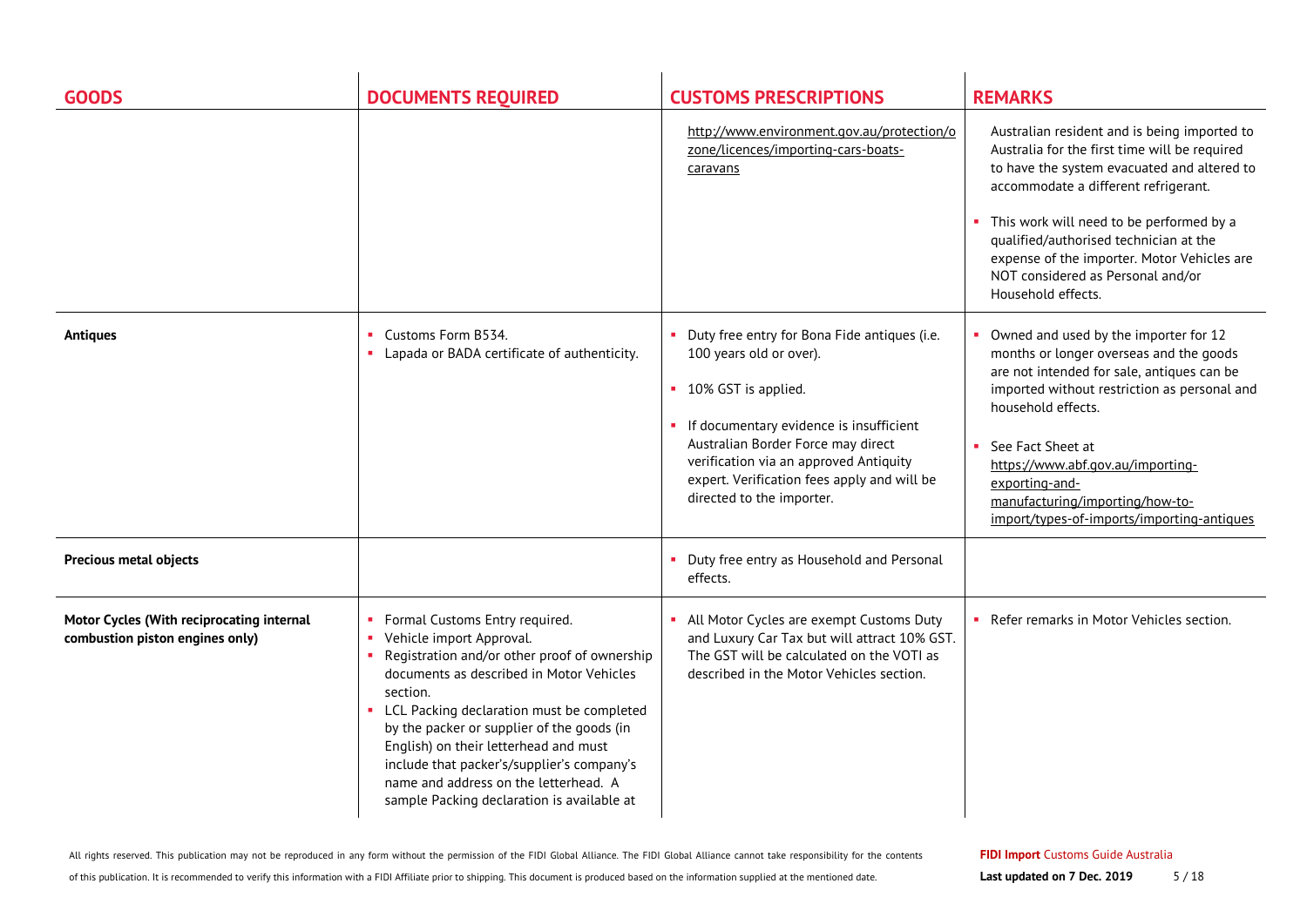| <b>GOODS</b>                                                                 | <b>DOCUMENTS REQUIRED</b>                                                                                                                                                                                                                                                                                                                                                                                                                     | <b>CUSTOMS PRESCRIPTIONS</b>                                                                                                                                                                                                                                                                              | <b>REMARKS</b>                                                                                                                                                                                                                                                                                                                                                                       |
|------------------------------------------------------------------------------|-----------------------------------------------------------------------------------------------------------------------------------------------------------------------------------------------------------------------------------------------------------------------------------------------------------------------------------------------------------------------------------------------------------------------------------------------|-----------------------------------------------------------------------------------------------------------------------------------------------------------------------------------------------------------------------------------------------------------------------------------------------------------|--------------------------------------------------------------------------------------------------------------------------------------------------------------------------------------------------------------------------------------------------------------------------------------------------------------------------------------------------------------------------------------|
|                                                                              |                                                                                                                                                                                                                                                                                                                                                                                                                                               | http://www.environment.gov.au/protection/o<br>zone/licences/importing-cars-boats-<br>caravans                                                                                                                                                                                                             | Australian resident and is being imported to<br>Australia for the first time will be required<br>to have the system evacuated and altered to<br>accommodate a different refrigerant.<br>This work will need to be performed by a<br>qualified/authorised technician at the<br>expense of the importer. Motor Vehicles are<br>NOT considered as Personal and/or<br>Household effects. |
| <b>Antiques</b>                                                              | Customs Form B534.<br>Lapada or BADA certificate of authenticity.                                                                                                                                                                                                                                                                                                                                                                             | Duty free entry for Bona Fide antiques (i.e.<br>100 years old or over).<br>• 10% GST is applied.<br>• If documentary evidence is insufficient<br>Australian Border Force may direct<br>verification via an approved Antiquity<br>expert. Verification fees apply and will be<br>directed to the importer. | • Owned and used by the importer for 12<br>months or longer overseas and the goods<br>are not intended for sale, antiques can be<br>imported without restriction as personal and<br>household effects.<br>See Fact Sheet at<br>https://www.abf.gov.au/importing-<br>exporting-and-<br>manufacturing/importing/how-to-<br>import/types-of-imports/importing-antiques                  |
| Precious metal objects                                                       |                                                                                                                                                                                                                                                                                                                                                                                                                                               | Duty free entry as Household and Personal<br>effects.                                                                                                                                                                                                                                                     |                                                                                                                                                                                                                                                                                                                                                                                      |
| Motor Cycles (With reciprocating internal<br>combustion piston engines only) | Formal Customs Entry required.<br>Vehicle import Approval.<br>Registration and/or other proof of ownership<br>documents as described in Motor Vehicles<br>section.<br>• LCL Packing declaration must be completed<br>by the packer or supplier of the goods (in<br>English) on their letterhead and must<br>include that packer's/supplier's company's<br>name and address on the letterhead. A<br>sample Packing declaration is available at | All Motor Cycles are exempt Customs Duty<br>and Luxury Car Tax but will attract 10% GST.<br>The GST will be calculated on the VOTI as<br>described in the Motor Vehicles section.                                                                                                                         | Refer remarks in Motor Vehicles section.                                                                                                                                                                                                                                                                                                                                             |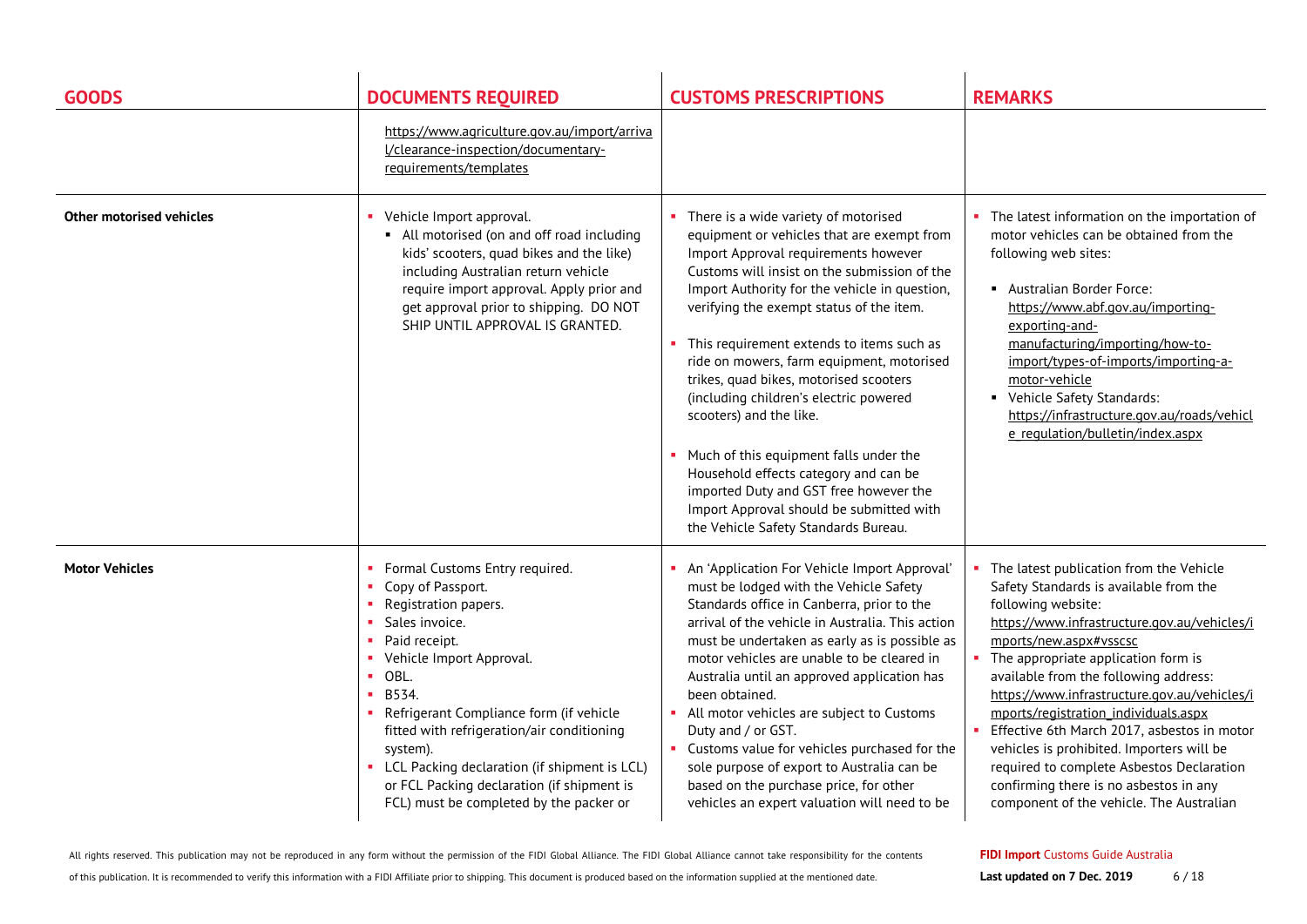| <b>GOODS</b>                    | <b>DOCUMENTS REQUIRED</b>                                                                                                                                                                                                                                                                                                                                                                                                                   | <b>CUSTOMS PRESCRIPTIONS</b>                                                                                                                                                                                                                                                                                                                                                                                                                                                                                                                                                                                                                                                                          | <b>REMARKS</b>                                                                                                                                                                                                                                                                                                                                                                                                                                                                                                                                                                           |
|---------------------------------|---------------------------------------------------------------------------------------------------------------------------------------------------------------------------------------------------------------------------------------------------------------------------------------------------------------------------------------------------------------------------------------------------------------------------------------------|-------------------------------------------------------------------------------------------------------------------------------------------------------------------------------------------------------------------------------------------------------------------------------------------------------------------------------------------------------------------------------------------------------------------------------------------------------------------------------------------------------------------------------------------------------------------------------------------------------------------------------------------------------------------------------------------------------|------------------------------------------------------------------------------------------------------------------------------------------------------------------------------------------------------------------------------------------------------------------------------------------------------------------------------------------------------------------------------------------------------------------------------------------------------------------------------------------------------------------------------------------------------------------------------------------|
|                                 | https://www.agriculture.gov.au/import/arriva<br>I/clearance-inspection/documentary-<br>requirements/templates                                                                                                                                                                                                                                                                                                                               |                                                                                                                                                                                                                                                                                                                                                                                                                                                                                                                                                                                                                                                                                                       |                                                                                                                                                                                                                                                                                                                                                                                                                                                                                                                                                                                          |
| <b>Other motorised vehicles</b> | Vehicle Import approval.<br>• All motorised (on and off road including<br>kids' scooters, quad bikes and the like)<br>including Australian return vehicle<br>require import approval. Apply prior and<br>get approval prior to shipping. DO NOT<br>SHIP UNTIL APPROVAL IS GRANTED.                                                                                                                                                          | • There is a wide variety of motorised<br>equipment or vehicles that are exempt from<br>Import Approval requirements however<br>Customs will insist on the submission of the<br>Import Authority for the vehicle in question,<br>verifying the exempt status of the item.<br>• This requirement extends to items such as<br>ride on mowers, farm equipment, motorised<br>trikes, quad bikes, motorised scooters<br>(including children's electric powered<br>scooters) and the like.<br>Much of this equipment falls under the<br>Household effects category and can be<br>imported Duty and GST free however the<br>Import Approval should be submitted with<br>the Vehicle Safety Standards Bureau. | The latest information on the importation of<br>motor vehicles can be obtained from the<br>following web sites:<br>Australian Border Force:<br>https://www.abf.gov.au/importing-<br>exporting-and-<br>manufacturing/importing/how-to-<br>import/types-of-imports/importing-a-<br>motor-vehicle<br>• Vehicle Safety Standards:<br>https://infrastructure.gov.au/roads/vehicl<br>e regulation/bulletin/index.aspx                                                                                                                                                                          |
| <b>Motor Vehicles</b>           | Formal Customs Entry required.<br>٠.<br>Copy of Passport.<br>×.<br>Registration papers.<br>Sales invoice.<br>Paid receipt.<br>Vehicle Import Approval.<br>×.<br>OBL.<br>×.<br>B534.<br>×.<br>• Refrigerant Compliance form (if vehicle<br>fitted with refrigeration/air conditioning<br>system).<br>• LCL Packing declaration (if shipment is LCL)<br>or FCL Packing declaration (if shipment is<br>FCL) must be completed by the packer or | An 'Application For Vehicle Import Approval'<br>must be lodged with the Vehicle Safety<br>Standards office in Canberra, prior to the<br>arrival of the vehicle in Australia. This action<br>must be undertaken as early as is possible as<br>motor vehicles are unable to be cleared in<br>Australia until an approved application has<br>been obtained.<br>All motor vehicles are subject to Customs<br>Duty and / or GST.<br>• Customs value for vehicles purchased for the<br>sole purpose of export to Australia can be<br>based on the purchase price, for other<br>vehicles an expert valuation will need to be                                                                                 | The latest publication from the Vehicle<br>Safety Standards is available from the<br>following website:<br>https://www.infrastructure.gov.au/vehicles/i<br>mports/new.aspx#vsscsc<br>The appropriate application form is<br>available from the following address:<br>https://www.infrastructure.gov.au/vehicles/i<br>mports/registration individuals.aspx<br>Effective 6th March 2017, asbestos in motor<br>vehicles is prohibited. Importers will be<br>required to complete Asbestos Declaration<br>confirming there is no asbestos in any<br>component of the vehicle. The Australian |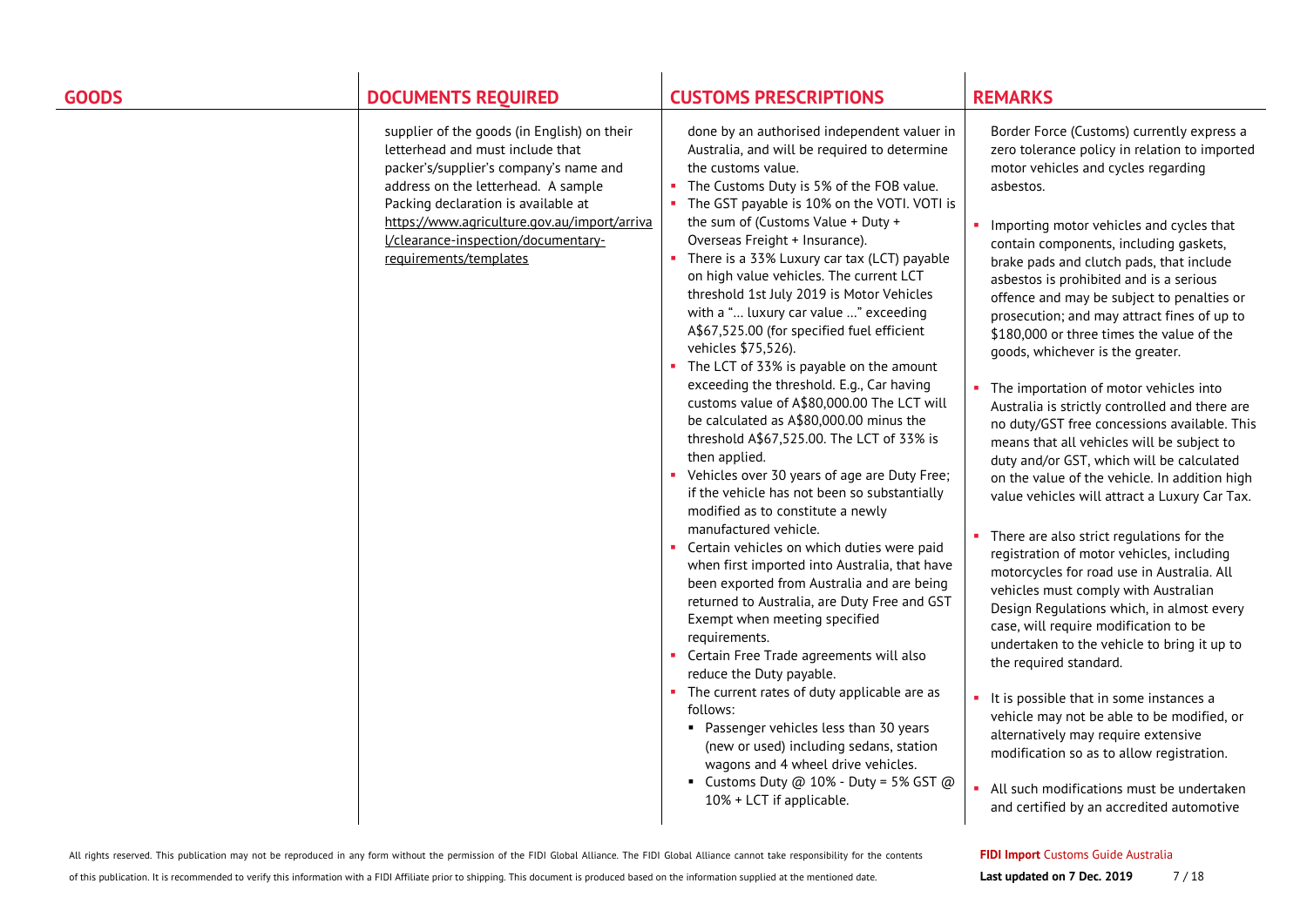| <b>GOODS</b> | <b>DOCUMENTS REQUIRED</b>                                                                                                                                                                                                                                                                                                | <b>CUSTOMS PRESCRIPTIONS</b>                                                                                                                                                                                                                                                                                                                                                                                                                                                                                                                                                                                                                                                                                                                                                                                                                                                                                                                                                                                                                                                                                                                                    | <b>REMARKS</b>                                                                                                                                                                                                                                                                                                                                                                                                                                                                                                                                                                                                                                                                                                                                                                                                                                                                                                                                                                                                                                                                     |
|--------------|--------------------------------------------------------------------------------------------------------------------------------------------------------------------------------------------------------------------------------------------------------------------------------------------------------------------------|-----------------------------------------------------------------------------------------------------------------------------------------------------------------------------------------------------------------------------------------------------------------------------------------------------------------------------------------------------------------------------------------------------------------------------------------------------------------------------------------------------------------------------------------------------------------------------------------------------------------------------------------------------------------------------------------------------------------------------------------------------------------------------------------------------------------------------------------------------------------------------------------------------------------------------------------------------------------------------------------------------------------------------------------------------------------------------------------------------------------------------------------------------------------|------------------------------------------------------------------------------------------------------------------------------------------------------------------------------------------------------------------------------------------------------------------------------------------------------------------------------------------------------------------------------------------------------------------------------------------------------------------------------------------------------------------------------------------------------------------------------------------------------------------------------------------------------------------------------------------------------------------------------------------------------------------------------------------------------------------------------------------------------------------------------------------------------------------------------------------------------------------------------------------------------------------------------------------------------------------------------------|
|              | supplier of the goods (in English) on their<br>letterhead and must include that<br>packer's/supplier's company's name and<br>address on the letterhead. A sample<br>Packing declaration is available at<br>https://www.agriculture.gov.au/import/arriva<br>I/clearance-inspection/documentary-<br>requirements/templates | done by an authorised independent valuer in<br>Australia, and will be required to determine<br>the customs value.<br>• The Customs Duty is 5% of the FOB value.<br>• The GST payable is 10% on the VOTI. VOTI is<br>the sum of (Customs Value + Duty +<br>Overseas Freight + Insurance).<br>• There is a 33% Luxury car tax (LCT) payable<br>on high value vehicles. The current LCT<br>threshold 1st July 2019 is Motor Vehicles<br>with a " luxury car value " exceeding<br>A\$67,525.00 (for specified fuel efficient<br>vehicles \$75,526).<br>• The LCT of 33% is payable on the amount<br>exceeding the threshold. E.g., Car having<br>customs value of A\$80,000.00 The LCT will<br>be calculated as A\$80,000.00 minus the<br>threshold A\$67,525.00. The LCT of 33% is<br>then applied.<br>• Vehicles over 30 years of age are Duty Free;<br>if the vehicle has not been so substantially<br>modified as to constitute a newly<br>manufactured vehicle.<br>• Certain vehicles on which duties were paid<br>when first imported into Australia, that have<br>been exported from Australia and are being<br>returned to Australia, are Duty Free and GST | Border Force (Customs) currently express a<br>zero tolerance policy in relation to imported<br>motor vehicles and cycles regarding<br>asbestos.<br>• Importing motor vehicles and cycles that<br>contain components, including gaskets,<br>brake pads and clutch pads, that include<br>asbestos is prohibited and is a serious<br>offence and may be subject to penalties or<br>prosecution; and may attract fines of up to<br>\$180,000 or three times the value of the<br>goods, whichever is the greater.<br>The importation of motor vehicles into<br>Australia is strictly controlled and there are<br>no duty/GST free concessions available. This<br>means that all vehicles will be subject to<br>duty and/or GST, which will be calculated<br>on the value of the vehicle. In addition high<br>value vehicles will attract a Luxury Car Tax.<br>There are also strict regulations for the<br>registration of motor vehicles, including<br>motorcycles for road use in Australia. All<br>vehicles must comply with Australian<br>Design Regulations which, in almost every |
|              |                                                                                                                                                                                                                                                                                                                          | Exempt when meeting specified<br>requirements.<br>• Certain Free Trade agreements will also<br>reduce the Duty payable.                                                                                                                                                                                                                                                                                                                                                                                                                                                                                                                                                                                                                                                                                                                                                                                                                                                                                                                                                                                                                                         | case, will require modification to be<br>undertaken to the vehicle to bring it up to<br>the required standard.                                                                                                                                                                                                                                                                                                                                                                                                                                                                                                                                                                                                                                                                                                                                                                                                                                                                                                                                                                     |
|              |                                                                                                                                                                                                                                                                                                                          | • The current rates of duty applicable are as<br>follows:<br>• Passenger vehicles less than 30 years<br>(new or used) including sedans, station<br>wagons and 4 wheel drive vehicles.                                                                                                                                                                                                                                                                                                                                                                                                                                                                                                                                                                                                                                                                                                                                                                                                                                                                                                                                                                           | It is possible that in some instances a<br>vehicle may not be able to be modified, or<br>alternatively may require extensive<br>modification so as to allow registration.                                                                                                                                                                                                                                                                                                                                                                                                                                                                                                                                                                                                                                                                                                                                                                                                                                                                                                          |
|              |                                                                                                                                                                                                                                                                                                                          | - Customs Duty @ $10\%$ - Duty = 5% GST @<br>10% + LCT if applicable.                                                                                                                                                                                                                                                                                                                                                                                                                                                                                                                                                                                                                                                                                                                                                                                                                                                                                                                                                                                                                                                                                           | All such modifications must be undertaken<br>and certified by an accredited automotive                                                                                                                                                                                                                                                                                                                                                                                                                                                                                                                                                                                                                                                                                                                                                                                                                                                                                                                                                                                             |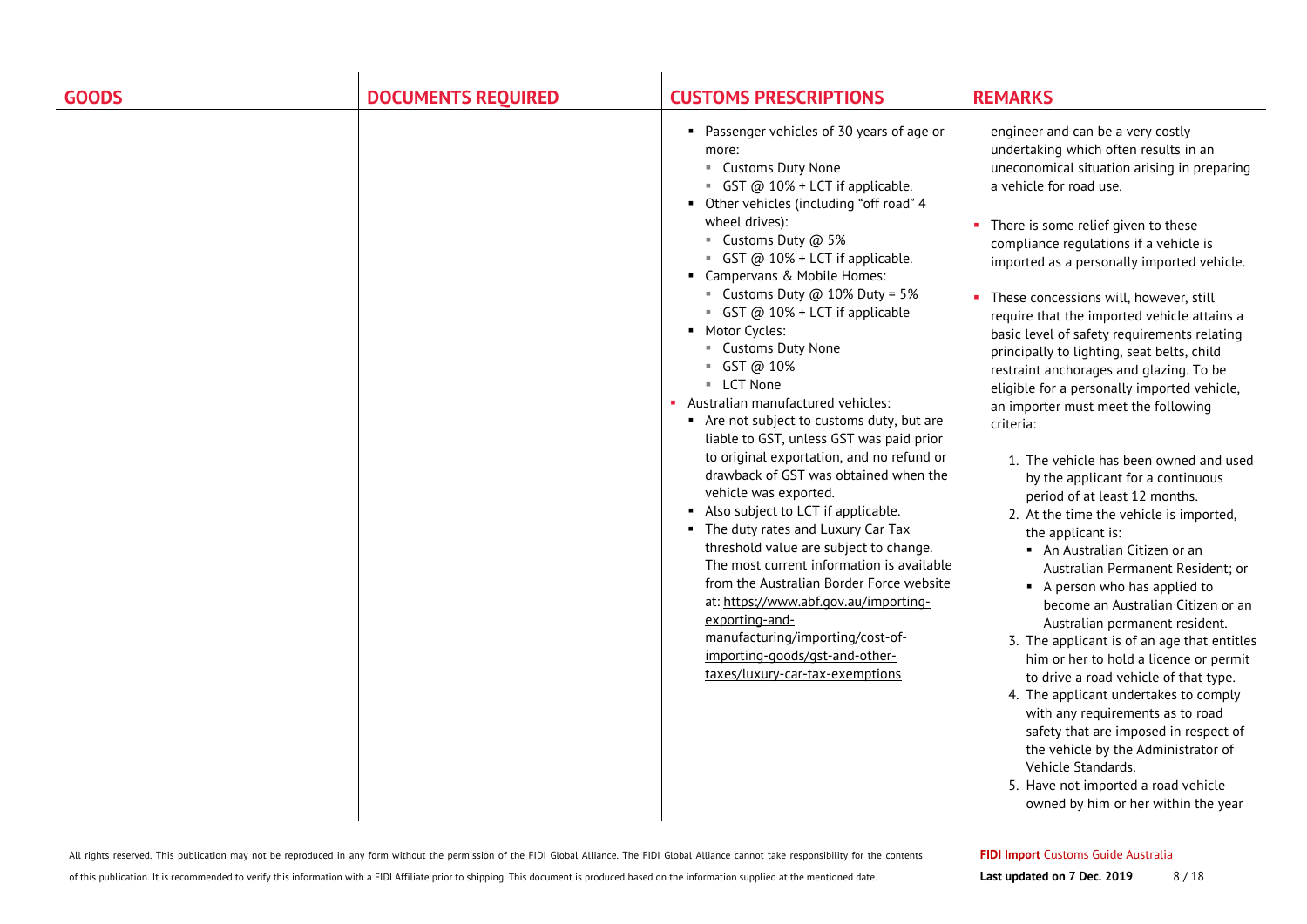| <b>GOODS</b> | <b>DOCUMENTS REQUIRED</b> | <b>CUSTOMS PRESCRIPTIONS</b>                                                                                                                                                                                                                                                                                                                                                                                                                                                                                                                                                                                                                                                                                                                                                                                                                                                                                                                                                                                                                         | <b>REMARKS</b>                                                                                                                                                                                                                                                                                                                                                                                                                                                                                                                                                                                                                                                                                                                                                                                                                                                                                                                                                                                                                                                                                                                                                                                                                                                                                                                                                                            |
|--------------|---------------------------|------------------------------------------------------------------------------------------------------------------------------------------------------------------------------------------------------------------------------------------------------------------------------------------------------------------------------------------------------------------------------------------------------------------------------------------------------------------------------------------------------------------------------------------------------------------------------------------------------------------------------------------------------------------------------------------------------------------------------------------------------------------------------------------------------------------------------------------------------------------------------------------------------------------------------------------------------------------------------------------------------------------------------------------------------|-------------------------------------------------------------------------------------------------------------------------------------------------------------------------------------------------------------------------------------------------------------------------------------------------------------------------------------------------------------------------------------------------------------------------------------------------------------------------------------------------------------------------------------------------------------------------------------------------------------------------------------------------------------------------------------------------------------------------------------------------------------------------------------------------------------------------------------------------------------------------------------------------------------------------------------------------------------------------------------------------------------------------------------------------------------------------------------------------------------------------------------------------------------------------------------------------------------------------------------------------------------------------------------------------------------------------------------------------------------------------------------------|
|              |                           | • Passenger vehicles of 30 years of age or<br>more:<br>" Customs Duty None<br>GST @ 10% + LCT if applicable.<br>• Other vehicles (including "off road" 4<br>wheel drives):<br>■ Customs Duty @ 5%<br>GST @ 10% + LCT if applicable.<br>• Campervans & Mobile Homes:<br>■ Customs Duty $@$ 10% Duty = 5%<br>GST @ 10% + LCT if applicable<br>• Motor Cycles:<br>" Customs Duty None<br>■ GST @ 10%<br><b>LCT None</b><br>Australian manufactured vehicles:<br>Are not subject to customs duty, but are<br>liable to GST, unless GST was paid prior<br>to original exportation, and no refund or<br>drawback of GST was obtained when the<br>vehicle was exported.<br>Also subject to LCT if applicable.<br>• The duty rates and Luxury Car Tax<br>threshold value are subject to change.<br>The most current information is available<br>from the Australian Border Force website<br>at: https://www.abf.gov.au/importing-<br>exporting-and-<br>manufacturing/importing/cost-of-<br>importing-goods/gst-and-other-<br>taxes/luxury-car-tax-exemptions | engineer and can be a very costly<br>undertaking which often results in an<br>uneconomical situation arising in preparing<br>a vehicle for road use.<br>There is some relief given to these<br>compliance regulations if a vehicle is<br>imported as a personally imported vehicle.<br>These concessions will, however, still<br>require that the imported vehicle attains a<br>basic level of safety requirements relating<br>principally to lighting, seat belts, child<br>restraint anchorages and glazing. To be<br>eligible for a personally imported vehicle,<br>an importer must meet the following<br>criteria:<br>1. The vehicle has been owned and used<br>by the applicant for a continuous<br>period of at least 12 months.<br>2. At the time the vehicle is imported,<br>the applicant is:<br>• An Australian Citizen or an<br>Australian Permanent Resident; or<br>• A person who has applied to<br>become an Australian Citizen or an<br>Australian permanent resident.<br>3. The applicant is of an age that entitles<br>him or her to hold a licence or permit<br>to drive a road vehicle of that type.<br>4. The applicant undertakes to comply<br>with any requirements as to road<br>safety that are imposed in respect of<br>the vehicle by the Administrator of<br>Vehicle Standards.<br>5. Have not imported a road vehicle<br>owned by him or her within the year |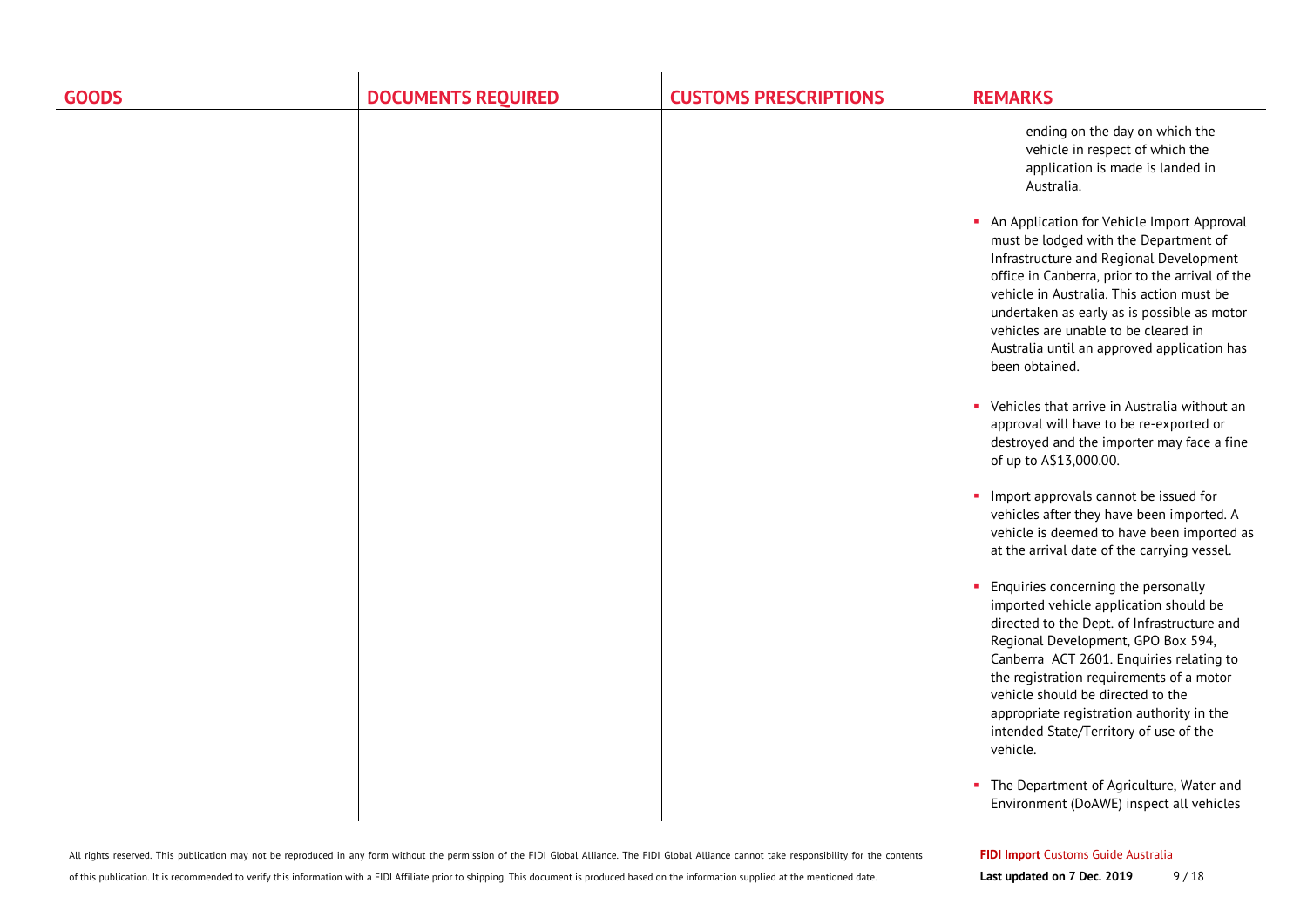| <b>GOODS</b> | <b>DOCUMENTS REQUIRED</b> | <b>CUSTOMS PRESCRIPTIONS</b> | <b>REMARKS</b>                                                                                                                                                                                                                                                                                                                                                                                       |
|--------------|---------------------------|------------------------------|------------------------------------------------------------------------------------------------------------------------------------------------------------------------------------------------------------------------------------------------------------------------------------------------------------------------------------------------------------------------------------------------------|
|              |                           |                              | ending on the day on which the<br>vehicle in respect of which the<br>application is made is landed in<br>Australia.                                                                                                                                                                                                                                                                                  |
|              |                           |                              | • An Application for Vehicle Import Approval<br>must be lodged with the Department of<br>Infrastructure and Regional Development<br>office in Canberra, prior to the arrival of the<br>vehicle in Australia. This action must be<br>undertaken as early as is possible as motor<br>vehicles are unable to be cleared in<br>Australia until an approved application has<br>been obtained.             |
|              |                           |                              | • Vehicles that arrive in Australia without an<br>approval will have to be re-exported or<br>destroyed and the importer may face a fine<br>of up to A\$13,000.00.                                                                                                                                                                                                                                    |
|              |                           |                              | • Import approvals cannot be issued for<br>vehicles after they have been imported. A<br>vehicle is deemed to have been imported as<br>at the arrival date of the carrying vessel.                                                                                                                                                                                                                    |
|              |                           |                              | • Enquiries concerning the personally<br>imported vehicle application should be<br>directed to the Dept. of Infrastructure and<br>Regional Development, GPO Box 594,<br>Canberra ACT 2601. Enquiries relating to<br>the registration requirements of a motor<br>vehicle should be directed to the<br>appropriate registration authority in the<br>intended State/Territory of use of the<br>vehicle. |
|              |                           |                              | The Department of Agriculture, Water and<br>Environment (DoAWE) inspect all vehicles                                                                                                                                                                                                                                                                                                                 |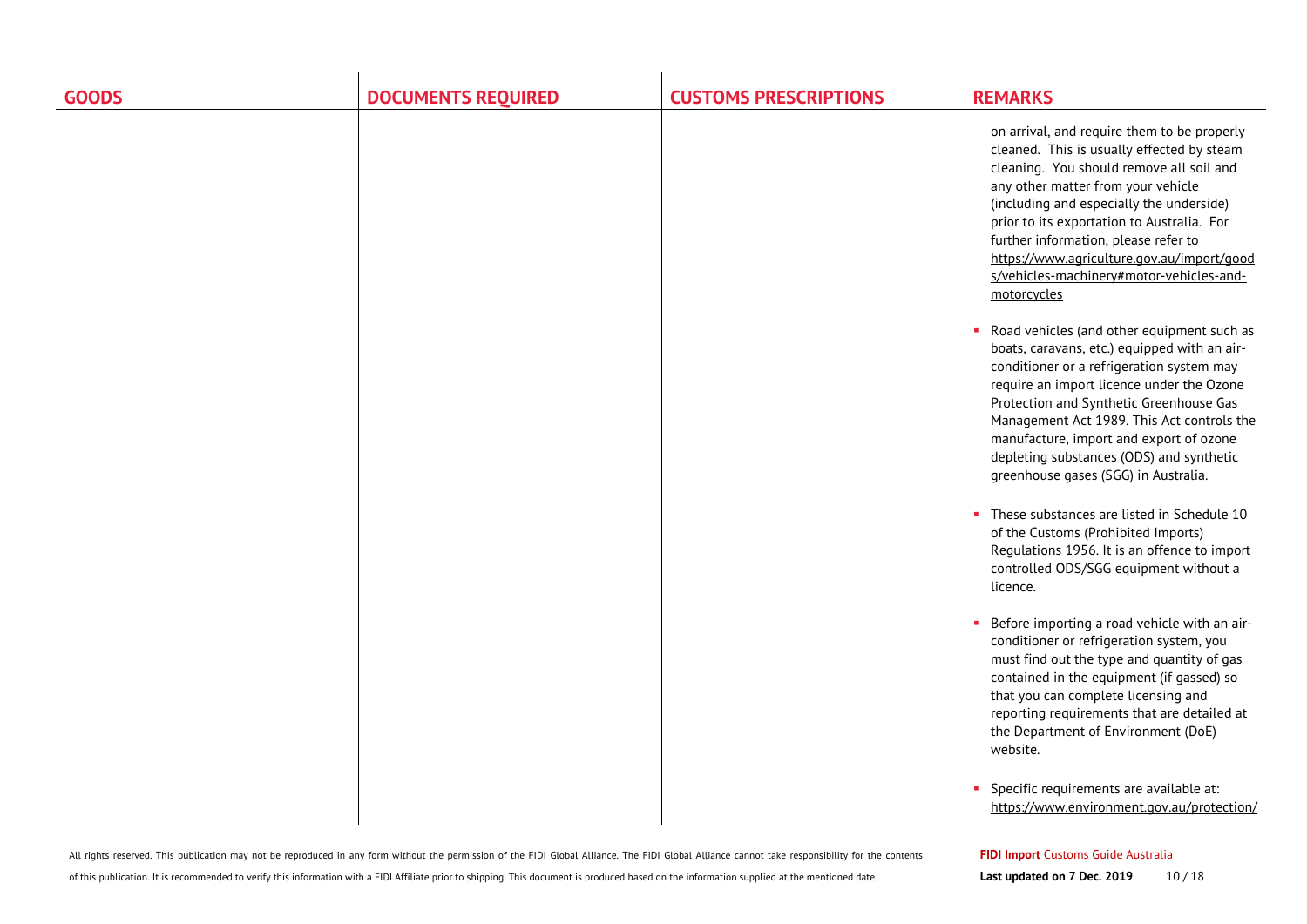| <b>GOODS</b> | <b>DOCUMENTS REQUIRED</b> | <b>CUSTOMS PRESCRIPTIONS</b> | <b>REMARKS</b>                                                                                                                                                                                                                                                                                                                                                                                                         |
|--------------|---------------------------|------------------------------|------------------------------------------------------------------------------------------------------------------------------------------------------------------------------------------------------------------------------------------------------------------------------------------------------------------------------------------------------------------------------------------------------------------------|
|              |                           |                              | on arrival, and require them to be properly<br>cleaned. This is usually effected by steam<br>cleaning. You should remove all soil and<br>any other matter from your vehicle<br>(including and especially the underside)<br>prior to its exportation to Australia. For<br>further information, please refer to<br>https://www.agriculture.gov.au/import/good<br>s/vehicles-machinery#motor-vehicles-and-<br>motorcycles |
|              |                           |                              | Road vehicles (and other equipment such as<br>boats, caravans, etc.) equipped with an air-<br>conditioner or a refrigeration system may<br>require an import licence under the Ozone<br>Protection and Synthetic Greenhouse Gas<br>Management Act 1989. This Act controls the<br>manufacture, import and export of ozone<br>depleting substances (ODS) and synthetic<br>greenhouse gases (SGG) in Australia.           |
|              |                           |                              | These substances are listed in Schedule 10<br>×.<br>of the Customs (Prohibited Imports)<br>Regulations 1956. It is an offence to import<br>controlled ODS/SGG equipment without a<br>licence.                                                                                                                                                                                                                          |
|              |                           |                              | Before importing a road vehicle with an air-<br>conditioner or refrigeration system, you<br>must find out the type and quantity of gas<br>contained in the equipment (if gassed) so<br>that you can complete licensing and<br>reporting requirements that are detailed at<br>the Department of Environment (DoE)<br>website.                                                                                           |
|              |                           |                              | Specific requirements are available at:<br>https://www.environment.gov.au/protection/                                                                                                                                                                                                                                                                                                                                  |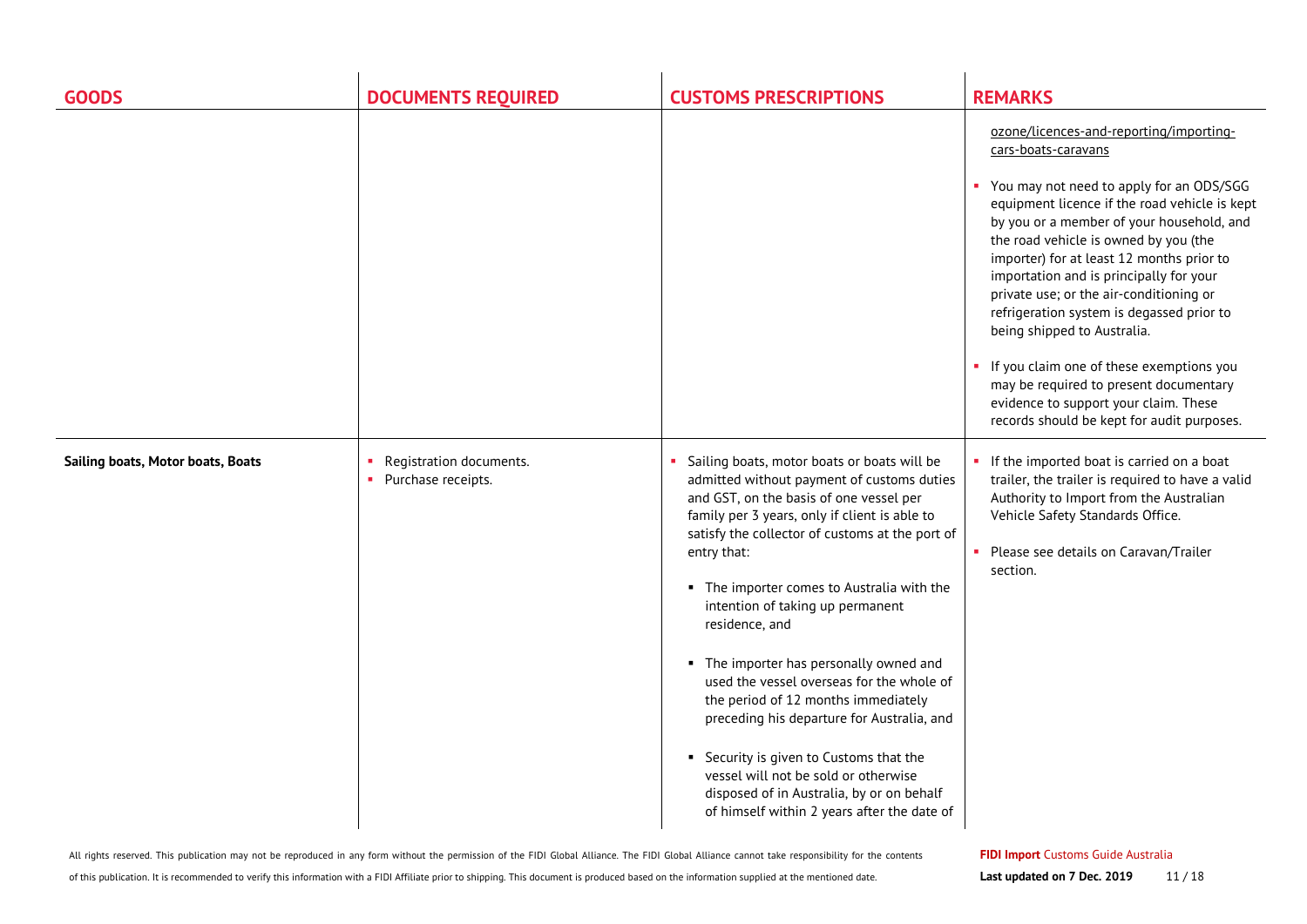| <b>GOODS</b>                      | <b>DOCUMENTS REQUIRED</b>                       | <b>CUSTOMS PRESCRIPTIONS</b>                                                                                                                                                                                                                                                                                                                                                                                                                                                                                                                                                                                                                                                                                            | <b>REMARKS</b>                                                                                                                                                                                                                                                                                                                                                                                                                                                                                                                                                                                                                                |
|-----------------------------------|-------------------------------------------------|-------------------------------------------------------------------------------------------------------------------------------------------------------------------------------------------------------------------------------------------------------------------------------------------------------------------------------------------------------------------------------------------------------------------------------------------------------------------------------------------------------------------------------------------------------------------------------------------------------------------------------------------------------------------------------------------------------------------------|-----------------------------------------------------------------------------------------------------------------------------------------------------------------------------------------------------------------------------------------------------------------------------------------------------------------------------------------------------------------------------------------------------------------------------------------------------------------------------------------------------------------------------------------------------------------------------------------------------------------------------------------------|
|                                   |                                                 |                                                                                                                                                                                                                                                                                                                                                                                                                                                                                                                                                                                                                                                                                                                         | ozone/licences-and-reporting/importing-<br>cars-boats-caravans<br>You may not need to apply for an ODS/SGG<br>equipment licence if the road vehicle is kept<br>by you or a member of your household, and<br>the road vehicle is owned by you (the<br>importer) for at least 12 months prior to<br>importation and is principally for your<br>private use; or the air-conditioning or<br>refrigeration system is degassed prior to<br>being shipped to Australia.<br>If you claim one of these exemptions you<br>may be required to present documentary<br>evidence to support your claim. These<br>records should be kept for audit purposes. |
| Sailing boats, Motor boats, Boats | Registration documents.<br>• Purchase receipts. | Sailing boats, motor boats or boats will be<br>admitted without payment of customs duties<br>and GST, on the basis of one vessel per<br>family per 3 years, only if client is able to<br>satisfy the collector of customs at the port of<br>entry that:<br>• The importer comes to Australia with the<br>intention of taking up permanent<br>residence, and<br>• The importer has personally owned and<br>used the vessel overseas for the whole of<br>the period of 12 months immediately<br>preceding his departure for Australia, and<br>• Security is given to Customs that the<br>vessel will not be sold or otherwise<br>disposed of in Australia, by or on behalf<br>of himself within 2 years after the date of | If the imported boat is carried on a boat<br>trailer, the trailer is required to have a valid<br>Authority to Import from the Australian<br>Vehicle Safety Standards Office.<br>• Please see details on Caravan/Trailer<br>section.                                                                                                                                                                                                                                                                                                                                                                                                           |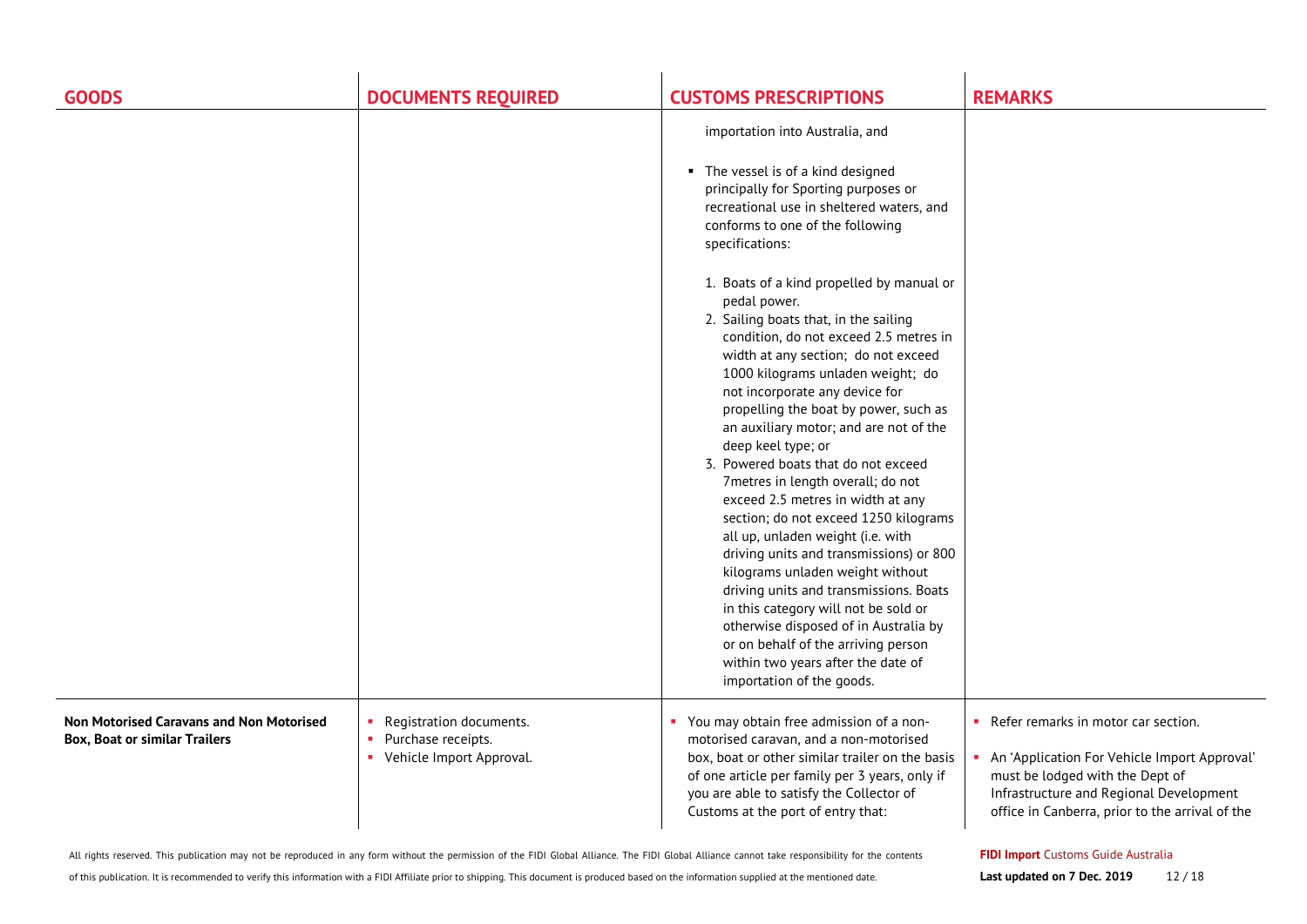| <b>GOODS</b>                                                                     | <b>DOCUMENTS REQUIRED</b>                                                 | <b>CUSTOMS PRESCRIPTIONS</b>                                                                                                                                                                                                                                                                                                                                                                                                                                                                                                                                                                                                                                                                                                                                                                                                                                                                                                                                                                                                                                                                                | <b>REMARKS</b>                                                                                                                                                                                                           |
|----------------------------------------------------------------------------------|---------------------------------------------------------------------------|-------------------------------------------------------------------------------------------------------------------------------------------------------------------------------------------------------------------------------------------------------------------------------------------------------------------------------------------------------------------------------------------------------------------------------------------------------------------------------------------------------------------------------------------------------------------------------------------------------------------------------------------------------------------------------------------------------------------------------------------------------------------------------------------------------------------------------------------------------------------------------------------------------------------------------------------------------------------------------------------------------------------------------------------------------------------------------------------------------------|--------------------------------------------------------------------------------------------------------------------------------------------------------------------------------------------------------------------------|
|                                                                                  |                                                                           | importation into Australia, and<br>• The vessel is of a kind designed<br>principally for Sporting purposes or<br>recreational use in sheltered waters, and<br>conforms to one of the following<br>specifications:<br>1. Boats of a kind propelled by manual or<br>pedal power.<br>2. Sailing boats that, in the sailing<br>condition, do not exceed 2.5 metres in<br>width at any section; do not exceed<br>1000 kilograms unladen weight; do<br>not incorporate any device for<br>propelling the boat by power, such as<br>an auxiliary motor; and are not of the<br>deep keel type; or<br>3. Powered boats that do not exceed<br>7metres in length overall; do not<br>exceed 2.5 metres in width at any<br>section; do not exceed 1250 kilograms<br>all up, unladen weight (i.e. with<br>driving units and transmissions) or 800<br>kilograms unladen weight without<br>driving units and transmissions. Boats<br>in this category will not be sold or<br>otherwise disposed of in Australia by<br>or on behalf of the arriving person<br>within two years after the date of<br>importation of the goods. |                                                                                                                                                                                                                          |
| Non Motorised Caravans and Non Motorised<br><b>Box, Boat or similar Trailers</b> | Registration documents.<br>Purchase receipts.<br>Vehicle Import Approval. | You may obtain free admission of a non-<br>motorised caravan, and a non-motorised<br>box, boat or other similar trailer on the basis<br>of one article per family per 3 years, only if<br>you are able to satisfy the Collector of<br>Customs at the port of entry that:                                                                                                                                                                                                                                                                                                                                                                                                                                                                                                                                                                                                                                                                                                                                                                                                                                    | • Refer remarks in motor car section.<br>• An 'Application For Vehicle Import Approval'<br>must be lodged with the Dept of<br>Infrastructure and Regional Development<br>office in Canberra, prior to the arrival of the |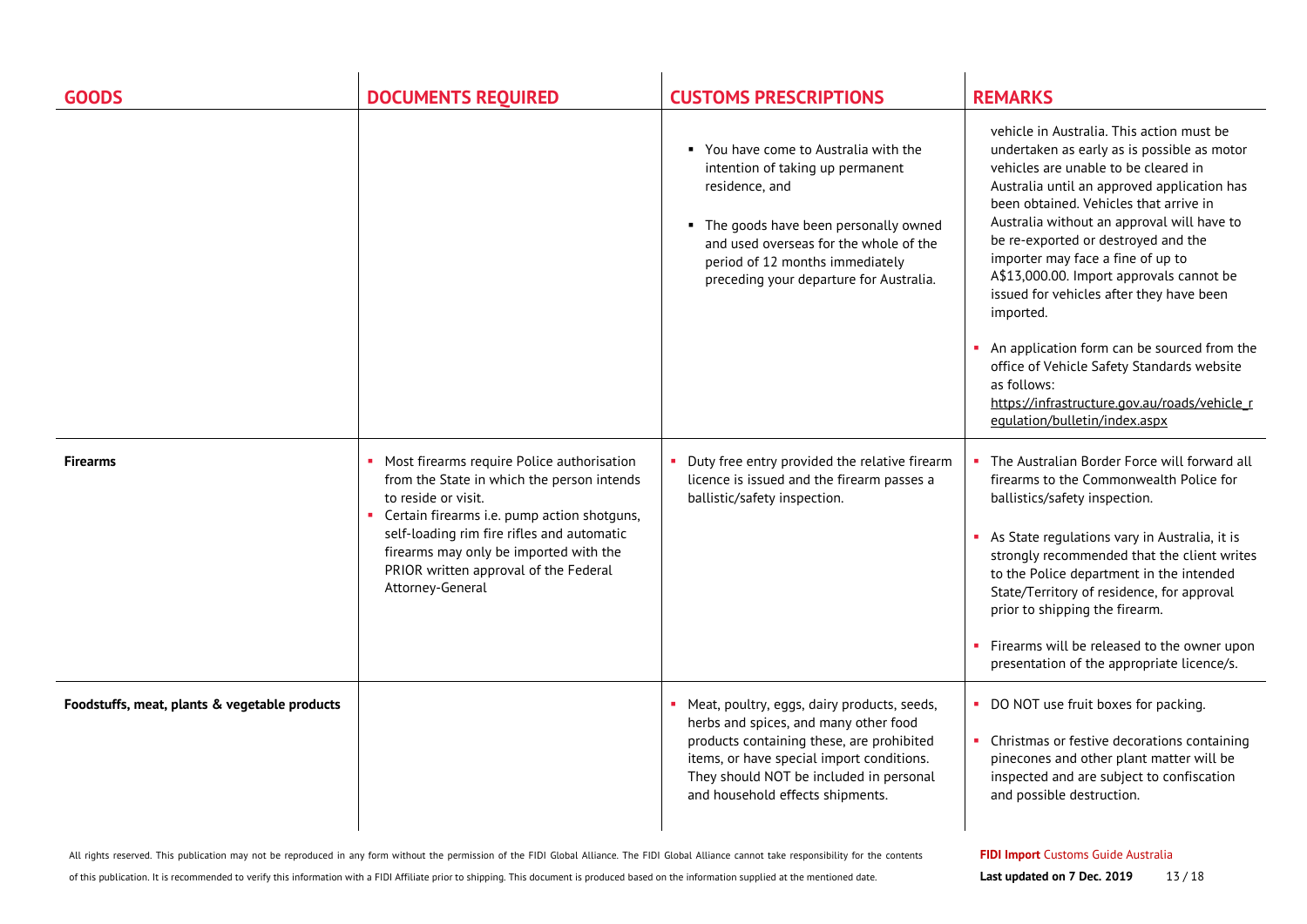| <b>GOODS</b>                                  | <b>DOCUMENTS REQUIRED</b>                                                                                                                                                                                                                                                                                             | <b>CUSTOMS PRESCRIPTIONS</b>                                                                                                                                                                                                                                    | <b>REMARKS</b>                                                                                                                                                                                                                                                                                                                                                                                                                                                                                                                                                                                                                                         |
|-----------------------------------------------|-----------------------------------------------------------------------------------------------------------------------------------------------------------------------------------------------------------------------------------------------------------------------------------------------------------------------|-----------------------------------------------------------------------------------------------------------------------------------------------------------------------------------------------------------------------------------------------------------------|--------------------------------------------------------------------------------------------------------------------------------------------------------------------------------------------------------------------------------------------------------------------------------------------------------------------------------------------------------------------------------------------------------------------------------------------------------------------------------------------------------------------------------------------------------------------------------------------------------------------------------------------------------|
|                                               |                                                                                                                                                                                                                                                                                                                       | " You have come to Australia with the<br>intention of taking up permanent<br>residence, and<br>• The goods have been personally owned<br>and used overseas for the whole of the<br>period of 12 months immediately<br>preceding your departure for Australia.   | vehicle in Australia. This action must be<br>undertaken as early as is possible as motor<br>vehicles are unable to be cleared in<br>Australia until an approved application has<br>been obtained. Vehicles that arrive in<br>Australia without an approval will have to<br>be re-exported or destroyed and the<br>importer may face a fine of up to<br>A\$13,000.00. Import approvals cannot be<br>issued for vehicles after they have been<br>imported.<br>An application form can be sourced from the<br>office of Vehicle Safety Standards website<br>as follows:<br>https://infrastructure.gov.au/roads/vehicle_r<br>equlation/bulletin/index.aspx |
| <b>Firearms</b>                               | • Most firearms require Police authorisation<br>from the State in which the person intends<br>to reside or visit.<br>Certain firearms i.e. pump action shotguns,<br>self-loading rim fire rifles and automatic<br>firearms may only be imported with the<br>PRIOR written approval of the Federal<br>Attorney-General | Duty free entry provided the relative firearm<br>licence is issued and the firearm passes a<br>ballistic/safety inspection.                                                                                                                                     | The Australian Border Force will forward all<br>firearms to the Commonwealth Police for<br>ballistics/safety inspection.<br>As State regulations vary in Australia, it is<br>strongly recommended that the client writes<br>to the Police department in the intended<br>State/Territory of residence, for approval<br>prior to shipping the firearm.<br>Firearms will be released to the owner upon<br>presentation of the appropriate licence/s.                                                                                                                                                                                                      |
| Foodstuffs, meat, plants & vegetable products |                                                                                                                                                                                                                                                                                                                       | • Meat, poultry, eggs, dairy products, seeds,<br>herbs and spices, and many other food<br>products containing these, are prohibited<br>items, or have special import conditions.<br>They should NOT be included in personal<br>and household effects shipments. | • DO NOT use fruit boxes for packing.<br>Christmas or festive decorations containing<br>pinecones and other plant matter will be<br>inspected and are subject to confiscation<br>and possible destruction.                                                                                                                                                                                                                                                                                                                                                                                                                                             |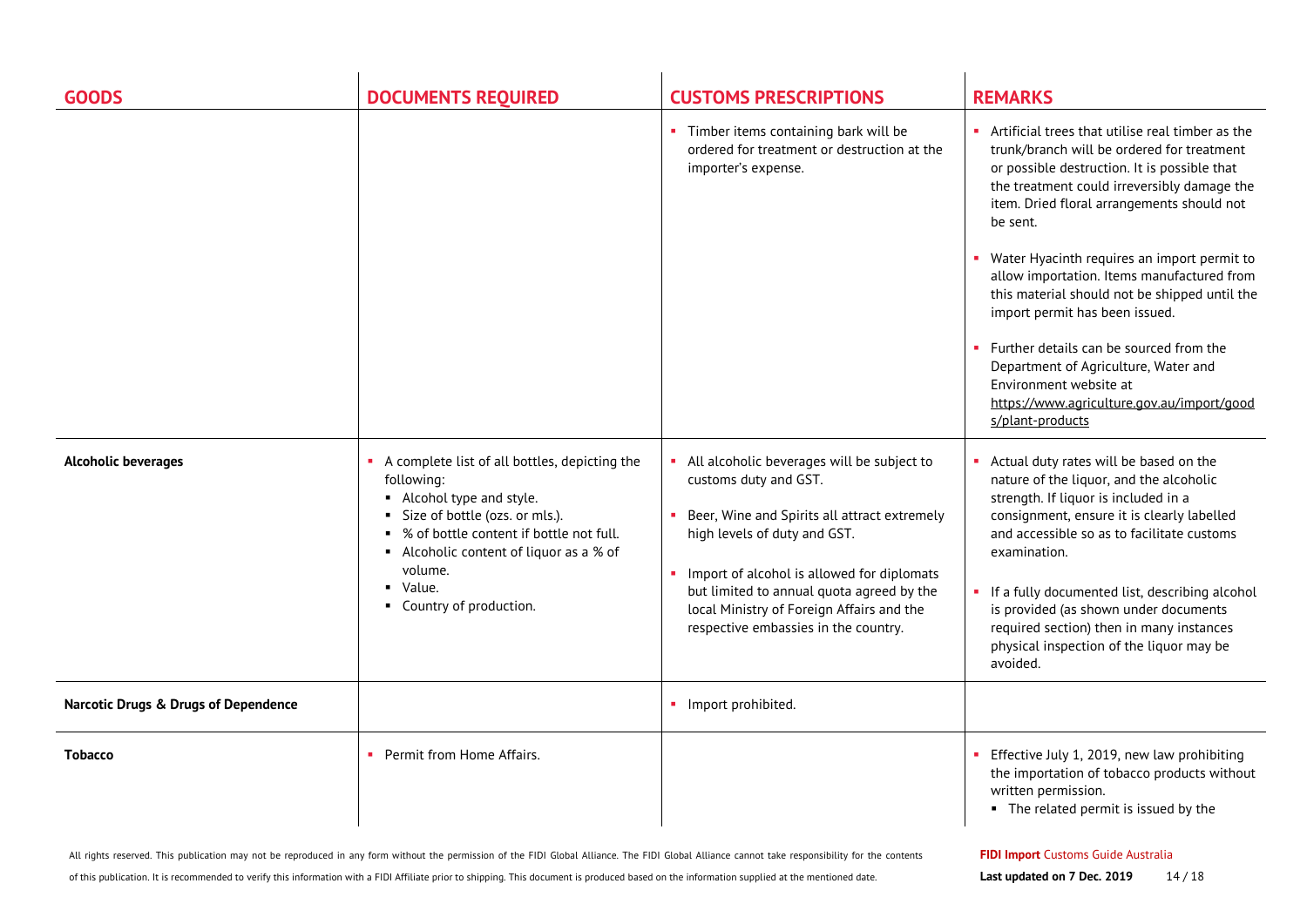| <b>GOODS</b>                         | <b>DOCUMENTS REQUIRED</b>                                                                                                                                                                                                                                                      | <b>CUSTOMS PRESCRIPTIONS</b>                                                                                                                                                                                                                                                                                                        | <b>REMARKS</b>                                                                                                                                                                                                                                                                                                                                                                                                                                                                                                                                                                                                         |
|--------------------------------------|--------------------------------------------------------------------------------------------------------------------------------------------------------------------------------------------------------------------------------------------------------------------------------|-------------------------------------------------------------------------------------------------------------------------------------------------------------------------------------------------------------------------------------------------------------------------------------------------------------------------------------|------------------------------------------------------------------------------------------------------------------------------------------------------------------------------------------------------------------------------------------------------------------------------------------------------------------------------------------------------------------------------------------------------------------------------------------------------------------------------------------------------------------------------------------------------------------------------------------------------------------------|
|                                      |                                                                                                                                                                                                                                                                                | • Timber items containing bark will be<br>ordered for treatment or destruction at the<br>importer's expense.                                                                                                                                                                                                                        | Artificial trees that utilise real timber as the<br>trunk/branch will be ordered for treatment<br>or possible destruction. It is possible that<br>the treatment could irreversibly damage the<br>item. Dried floral arrangements should not<br>be sent.<br>Water Hyacinth requires an import permit to<br>allow importation. Items manufactured from<br>this material should not be shipped until the<br>import permit has been issued.<br>Further details can be sourced from the<br>Department of Agriculture, Water and<br>Environment website at<br>https://www.agriculture.gov.au/import/good<br>s/plant-products |
| <b>Alcoholic beverages</b>           | A complete list of all bottles, depicting the<br>following:<br>Alcohol type and style.<br>Size of bottle (ozs. or mls.).<br>• % of bottle content if bottle not full.<br>Alcoholic content of liquor as a % of<br>volume.<br>$\blacksquare$ Value.<br>• Country of production. | All alcoholic beverages will be subject to<br>customs duty and GST.<br>Beer, Wine and Spirits all attract extremely<br>high levels of duty and GST.<br>Import of alcohol is allowed for diplomats<br>but limited to annual quota agreed by the<br>local Ministry of Foreign Affairs and the<br>respective embassies in the country. | Actual duty rates will be based on the<br>nature of the liquor, and the alcoholic<br>strength. If liquor is included in a<br>consignment, ensure it is clearly labelled<br>and accessible so as to facilitate customs<br>examination.<br>• If a fully documented list, describing alcohol<br>is provided (as shown under documents<br>required section) then in many instances<br>physical inspection of the liquor may be<br>avoided.                                                                                                                                                                                 |
| Narcotic Drugs & Drugs of Dependence |                                                                                                                                                                                                                                                                                | · Import prohibited.                                                                                                                                                                                                                                                                                                                |                                                                                                                                                                                                                                                                                                                                                                                                                                                                                                                                                                                                                        |
| <b>Tobacco</b>                       | Permit from Home Affairs.                                                                                                                                                                                                                                                      |                                                                                                                                                                                                                                                                                                                                     | Effective July 1, 2019, new law prohibiting<br>the importation of tobacco products without<br>written permission.<br>• The related permit is issued by the                                                                                                                                                                                                                                                                                                                                                                                                                                                             |

of this publication. It is recommended to verify this information with a FIDI Affiliate prior to shipping. This document is produced based on the information supplied at the mentioned date.

#### **FIDI Import** Customs Guide Australia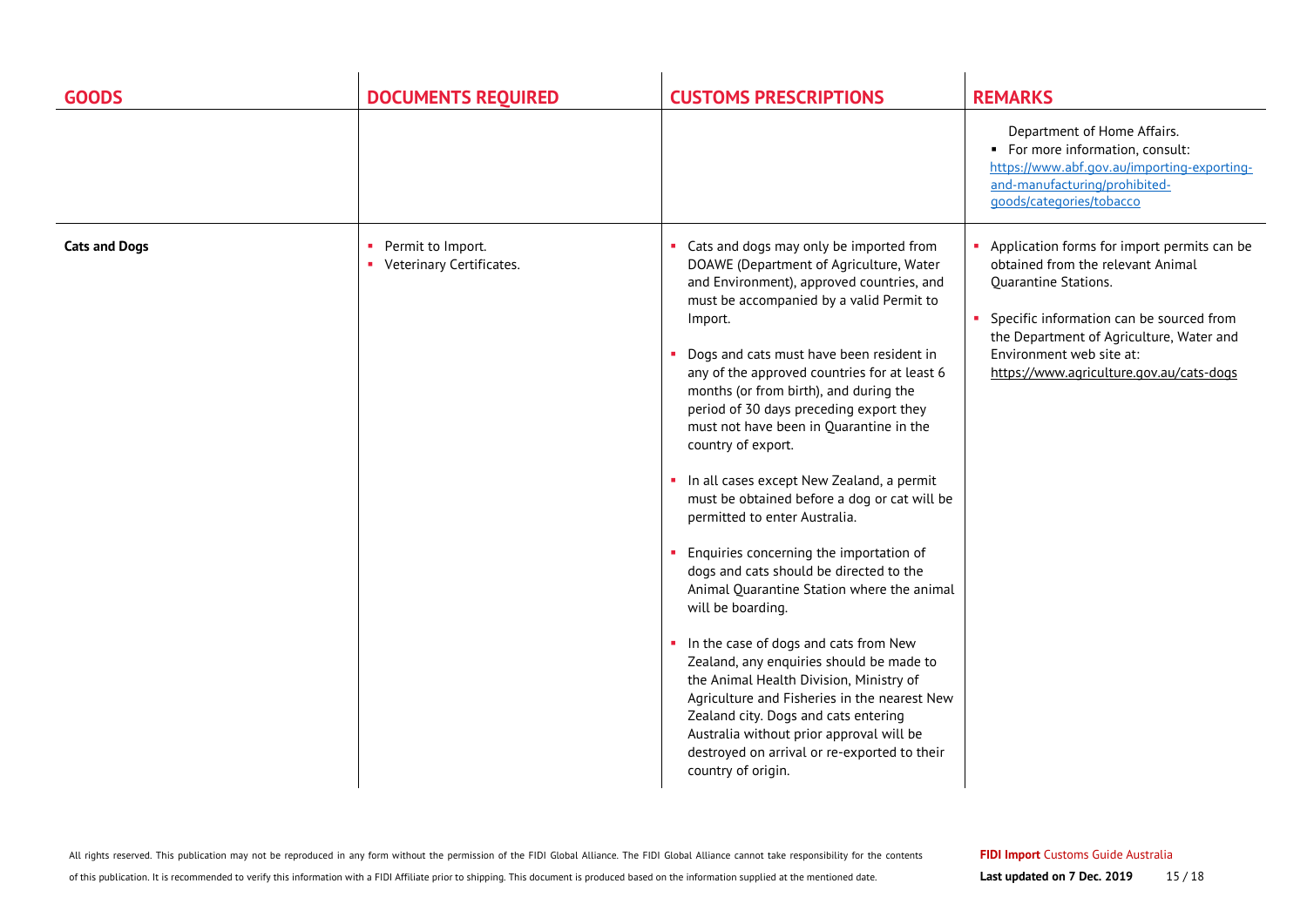| <b>GOODS</b>         | <b>DOCUMENTS REQUIRED</b>                             | <b>CUSTOMS PRESCRIPTIONS</b>                                                                                                                                                                                                                                                                                                                                                                                                                                                                                                                                                                                                                                                                                                                                                                                                                                                                                                                                                                                                                                                    | <b>REMARKS</b>                                                                                                                                                                                                                                                                    |
|----------------------|-------------------------------------------------------|---------------------------------------------------------------------------------------------------------------------------------------------------------------------------------------------------------------------------------------------------------------------------------------------------------------------------------------------------------------------------------------------------------------------------------------------------------------------------------------------------------------------------------------------------------------------------------------------------------------------------------------------------------------------------------------------------------------------------------------------------------------------------------------------------------------------------------------------------------------------------------------------------------------------------------------------------------------------------------------------------------------------------------------------------------------------------------|-----------------------------------------------------------------------------------------------------------------------------------------------------------------------------------------------------------------------------------------------------------------------------------|
|                      |                                                       |                                                                                                                                                                                                                                                                                                                                                                                                                                                                                                                                                                                                                                                                                                                                                                                                                                                                                                                                                                                                                                                                                 | Department of Home Affairs.<br>• For more information, consult:<br>https://www.abf.gov.au/importing-exporting-<br>and-manufacturing/prohibited-<br>goods/categories/tobacco                                                                                                       |
| <b>Cats and Dogs</b> | Permit to Import.<br>×.<br>• Veterinary Certificates. | • Cats and dogs may only be imported from<br>DOAWE (Department of Agriculture, Water<br>and Environment), approved countries, and<br>must be accompanied by a valid Permit to<br>Import.<br>• Dogs and cats must have been resident in<br>any of the approved countries for at least 6<br>months (or from birth), and during the<br>period of 30 days preceding export they<br>must not have been in Quarantine in the<br>country of export.<br>In all cases except New Zealand, a permit<br>must be obtained before a dog or cat will be<br>permitted to enter Australia.<br>• Enquiries concerning the importation of<br>dogs and cats should be directed to the<br>Animal Quarantine Station where the animal<br>will be boarding.<br>In the case of dogs and cats from New<br>Zealand, any enquiries should be made to<br>the Animal Health Division, Ministry of<br>Agriculture and Fisheries in the nearest New<br>Zealand city. Dogs and cats entering<br>Australia without prior approval will be<br>destroyed on arrival or re-exported to their<br>country of origin. | • Application forms for import permits can be<br>obtained from the relevant Animal<br><b>Quarantine Stations.</b><br>Specific information can be sourced from<br>the Department of Agriculture, Water and<br>Environment web site at:<br>https://www.agriculture.gov.au/cats-dogs |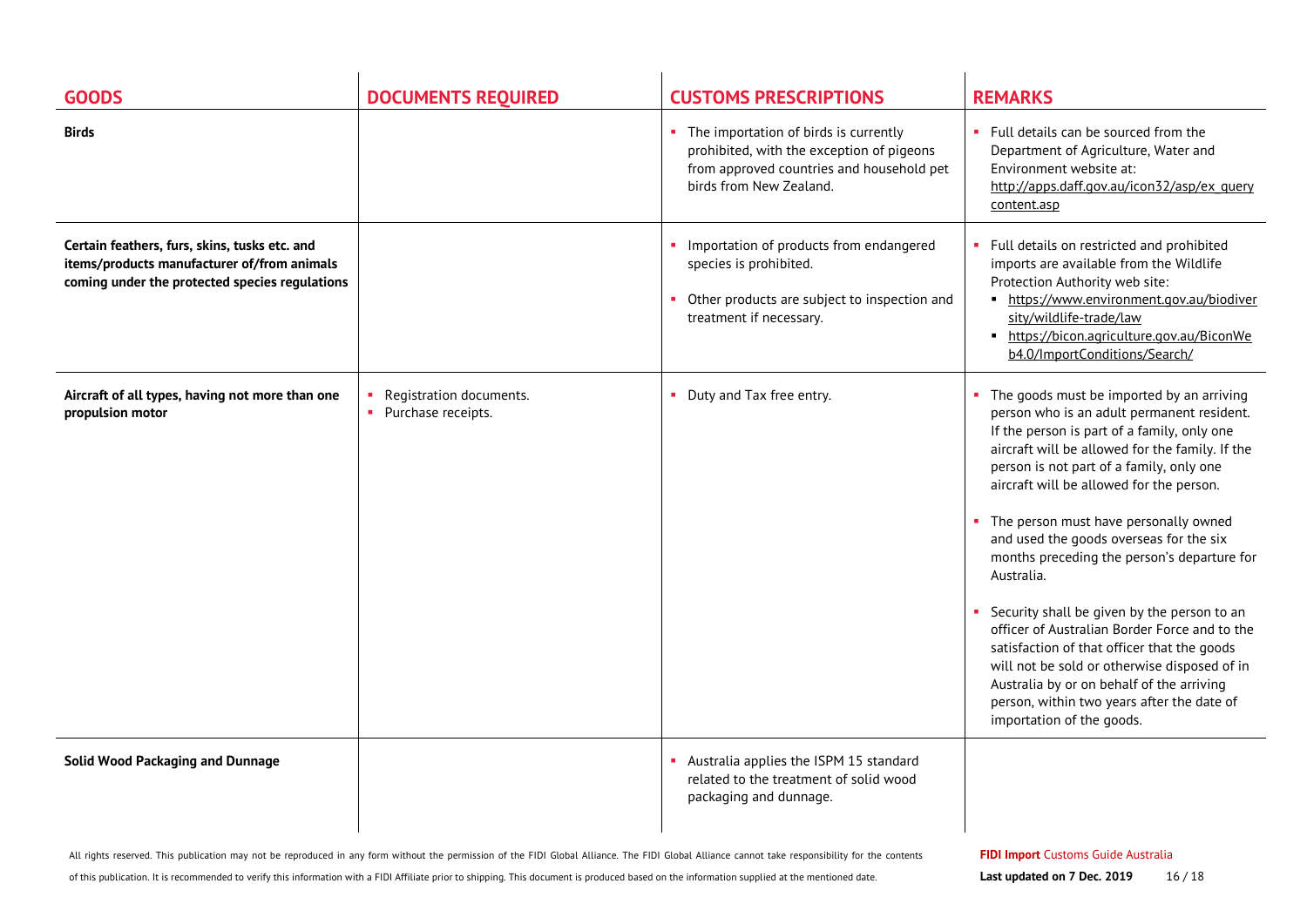| <b>GOODS</b>                                                                                                                                   | <b>DOCUMENTS REQUIRED</b>                       | <b>CUSTOMS PRESCRIPTIONS</b>                                                                                                                                 | <b>REMARKS</b>                                                                                                                                                                                                                                                                                                                                                                                                                                                                                                                                                                                                                                                                                                                                            |
|------------------------------------------------------------------------------------------------------------------------------------------------|-------------------------------------------------|--------------------------------------------------------------------------------------------------------------------------------------------------------------|-----------------------------------------------------------------------------------------------------------------------------------------------------------------------------------------------------------------------------------------------------------------------------------------------------------------------------------------------------------------------------------------------------------------------------------------------------------------------------------------------------------------------------------------------------------------------------------------------------------------------------------------------------------------------------------------------------------------------------------------------------------|
| <b>Birds</b>                                                                                                                                   |                                                 | • The importation of birds is currently<br>prohibited, with the exception of pigeons<br>from approved countries and household pet<br>birds from New Zealand. | • Full details can be sourced from the<br>Department of Agriculture, Water and<br>Environment website at:<br>http://apps.daff.gov.au/icon32/asp/ex query<br>content.asp                                                                                                                                                                                                                                                                                                                                                                                                                                                                                                                                                                                   |
| Certain feathers, furs, skins, tusks etc. and<br>items/products manufacturer of/from animals<br>coming under the protected species regulations |                                                 | • Importation of products from endangered<br>species is prohibited.<br>Other products are subject to inspection and<br>treatment if necessary.               | • Full details on restricted and prohibited<br>imports are available from the Wildlife<br>Protection Authority web site:<br>• https://www.environment.gov.au/biodiver<br>sity/wildlife-trade/law<br>• https://bicon.agriculture.gov.au/BiconWe<br>b4.0/ImportConditions/Search/                                                                                                                                                                                                                                                                                                                                                                                                                                                                           |
| Aircraft of all types, having not more than one<br>propulsion motor                                                                            | Registration documents.<br>• Purchase receipts. | Duty and Tax free entry.                                                                                                                                     | The goods must be imported by an arriving<br>person who is an adult permanent resident.<br>If the person is part of a family, only one<br>aircraft will be allowed for the family. If the<br>person is not part of a family, only one<br>aircraft will be allowed for the person.<br>The person must have personally owned<br>and used the goods overseas for the six<br>months preceding the person's departure for<br>Australia.<br>Security shall be given by the person to an<br>officer of Australian Border Force and to the<br>satisfaction of that officer that the goods<br>will not be sold or otherwise disposed of in<br>Australia by or on behalf of the arriving<br>person, within two years after the date of<br>importation of the goods. |
| <b>Solid Wood Packaging and Dunnage</b>                                                                                                        |                                                 | Australia applies the ISPM 15 standard<br>related to the treatment of solid wood<br>packaging and dunnage.                                                   |                                                                                                                                                                                                                                                                                                                                                                                                                                                                                                                                                                                                                                                                                                                                                           |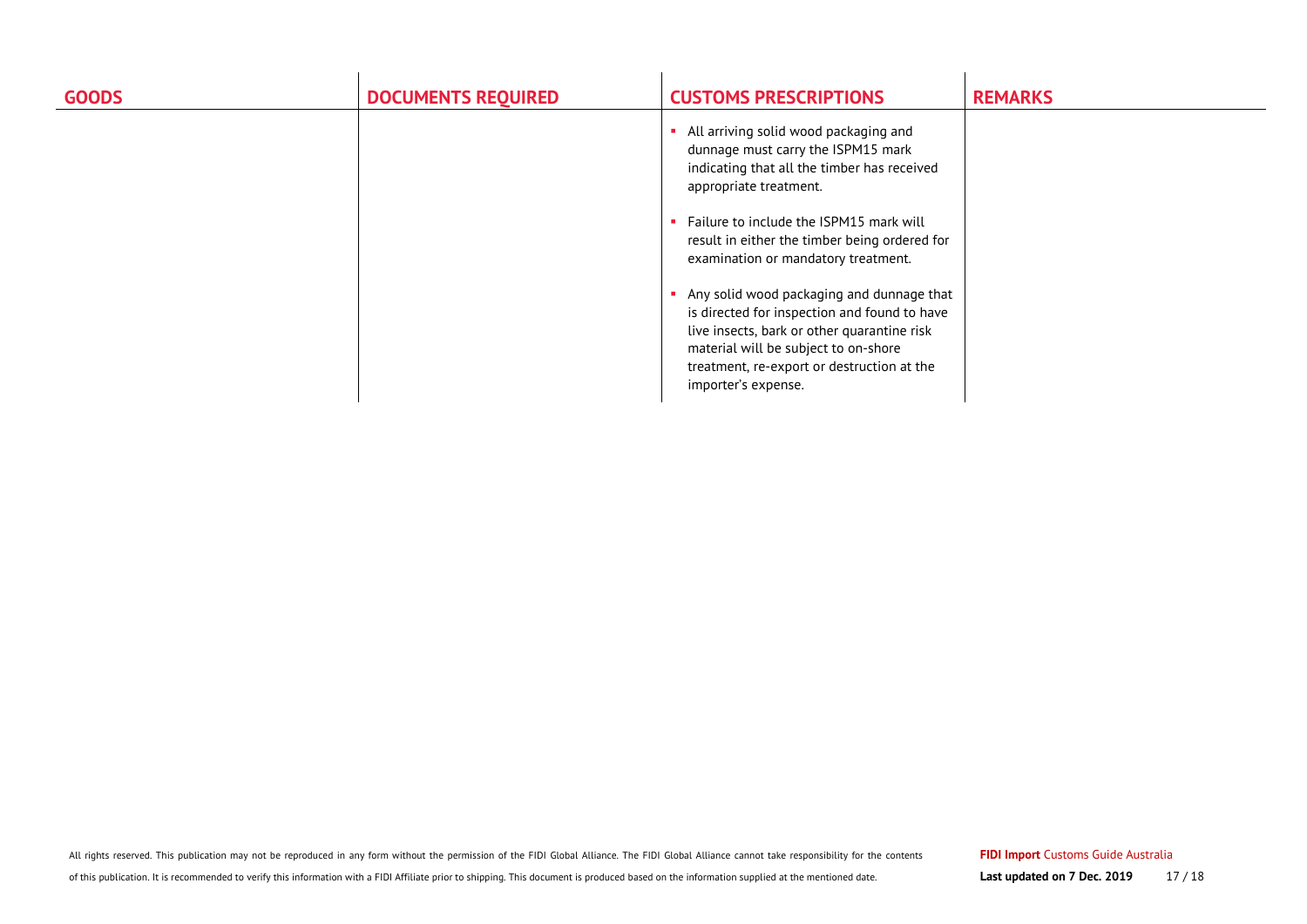| <b>GOODS</b> | <b>DOCUMENTS REQUIRED</b> | <b>CUSTOMS PRESCRIPTIONS</b>                                                                                                                                                                                                                          | <b>REMARKS</b> |
|--------------|---------------------------|-------------------------------------------------------------------------------------------------------------------------------------------------------------------------------------------------------------------------------------------------------|----------------|
|              |                           | All arriving solid wood packaging and<br>dunnage must carry the ISPM15 mark<br>indicating that all the timber has received<br>appropriate treatment.                                                                                                  |                |
|              |                           | Failure to include the ISPM15 mark will<br>result in either the timber being ordered for<br>examination or mandatory treatment.                                                                                                                       |                |
|              |                           | Any solid wood packaging and dunnage that<br>is directed for inspection and found to have<br>live insects, bark or other quarantine risk<br>material will be subject to on-shore<br>treatment, re-export or destruction at the<br>importer's expense. |                |